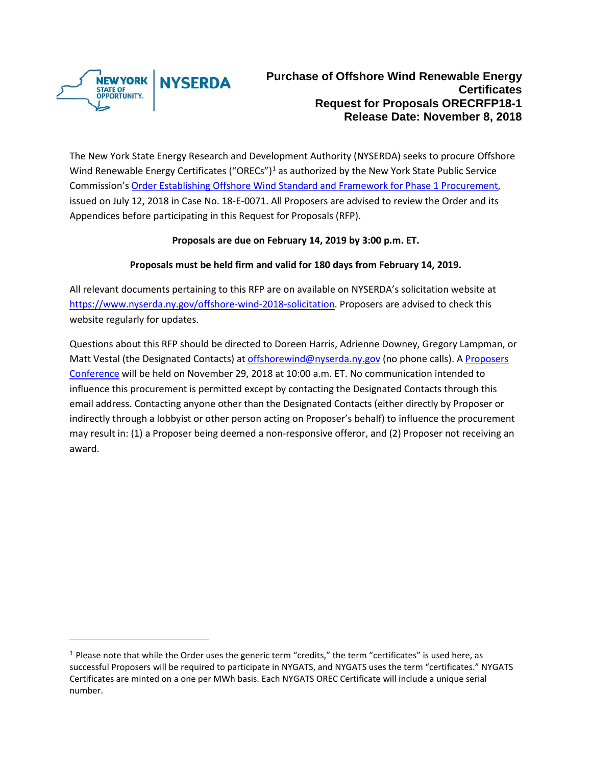

l

The New York State Energy Research and Development Authority (NYSERDA) seeks to procure Offshore Wind Renewable Energy Certificates ("ORECs")<sup>[1](#page-0-0)</sup> as authorized by the New York State Public Service Commission's [Order Establishing Offshore Wind Standard and Framework for Phase 1 Procurement,](http://documents.dps.ny.gov/public/Common/ViewDoc.aspx?DocRefId=%7b37EE76DF-81B1-47D4-B10A-73E21ABA1549%7d) issued on July 12, 2018 in Case No. 18-E-0071. All Proposers are advised to review the Order and its Appendices before participating in this Request for Proposals (RFP).

#### **Proposals are due on February 14, 2019 by 3:00 p.m. ET.**

#### **Proposals must be held firm and valid for 180 days from February 14, 2019.**

All relevant documents pertaining to this RFP are on available on NYSERDA's solicitation website at [https://www.nyserda.ny.gov/offshore-wind-2018-solicitation.](https://www.nyserda.ny.gov/offshore-wind-2018-solicitation) Proposers are advised to check this website regularly for updates.

Questions about this RFP should be directed to Doreen Harris, Adrienne Downey, Gregory Lampman, or Matt Vestal (the Designated Contacts) at [offshorewind@nyserda.ny.gov](mailto:offshorewind@nyserda.ny.gov) (no phone calls). A Proposers [Conference](https://nyserda-events.webex.com/nyserda-events/onstage/g.php?MTID=e2cd79881e7deed788c1707b1266d50d7) will be held on November 29, 2018 at 10:00 a.m. ET. No communication intended to influence this procurement is permitted except by contacting the Designated Contacts through this email address. Contacting anyone other than the Designated Contacts (either directly by Proposer or indirectly through a lobbyist or other person acting on Proposer's behalf) to influence the procurement may result in: (1) a Proposer being deemed a non-responsive offeror, and (2) Proposer not receiving an award.

<span id="page-0-0"></span><sup>1</sup> Please note that while the Order uses the generic term "credits," the term "certificates" is used here, as successful Proposers will be required to participate in NYGATS, and NYGATS uses the term "certificates." NYGATS Certificates are minted on a one per MWh basis. Each NYGATS OREC Certificate will include a unique serial number.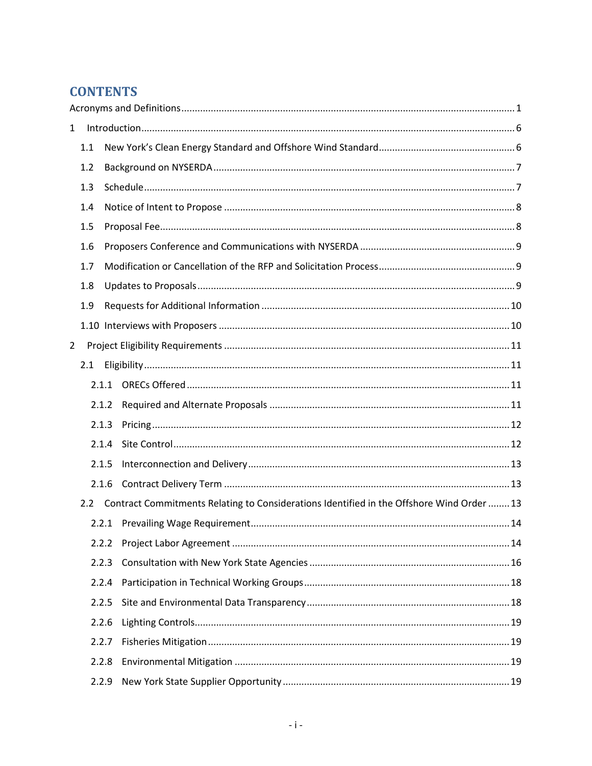# **CONTENTS**

| $\mathbf{1}$   |     |       |                                                                                           |  |  |  |  |  |
|----------------|-----|-------|-------------------------------------------------------------------------------------------|--|--|--|--|--|
| 1.1            |     |       |                                                                                           |  |  |  |  |  |
|                | 1.2 |       |                                                                                           |  |  |  |  |  |
|                | 1.3 |       |                                                                                           |  |  |  |  |  |
|                | 1.4 |       |                                                                                           |  |  |  |  |  |
|                | 1.5 |       |                                                                                           |  |  |  |  |  |
|                | 1.6 |       |                                                                                           |  |  |  |  |  |
|                | 1.7 |       |                                                                                           |  |  |  |  |  |
|                | 1.8 |       |                                                                                           |  |  |  |  |  |
|                | 1.9 |       |                                                                                           |  |  |  |  |  |
|                |     |       |                                                                                           |  |  |  |  |  |
| $\overline{2}$ |     |       |                                                                                           |  |  |  |  |  |
|                | 2.1 |       |                                                                                           |  |  |  |  |  |
|                |     |       |                                                                                           |  |  |  |  |  |
|                |     | 2.1.2 |                                                                                           |  |  |  |  |  |
|                |     | 2.1.3 |                                                                                           |  |  |  |  |  |
|                |     | 2.1.4 |                                                                                           |  |  |  |  |  |
|                |     | 2.1.5 |                                                                                           |  |  |  |  |  |
|                |     | 2.1.6 |                                                                                           |  |  |  |  |  |
| $2.2^{\circ}$  |     |       | Contract Commitments Relating to Considerations Identified in the Offshore Wind Order  13 |  |  |  |  |  |
|                |     |       |                                                                                           |  |  |  |  |  |
|                |     | 2.2.2 |                                                                                           |  |  |  |  |  |
|                |     | 2.2.3 |                                                                                           |  |  |  |  |  |
|                |     | 2.2.4 |                                                                                           |  |  |  |  |  |
|                |     | 2.2.5 |                                                                                           |  |  |  |  |  |
|                |     | 2.2.6 |                                                                                           |  |  |  |  |  |
|                |     | 2.2.7 |                                                                                           |  |  |  |  |  |
|                |     | 2.2.8 |                                                                                           |  |  |  |  |  |
|                |     | 2.2.9 |                                                                                           |  |  |  |  |  |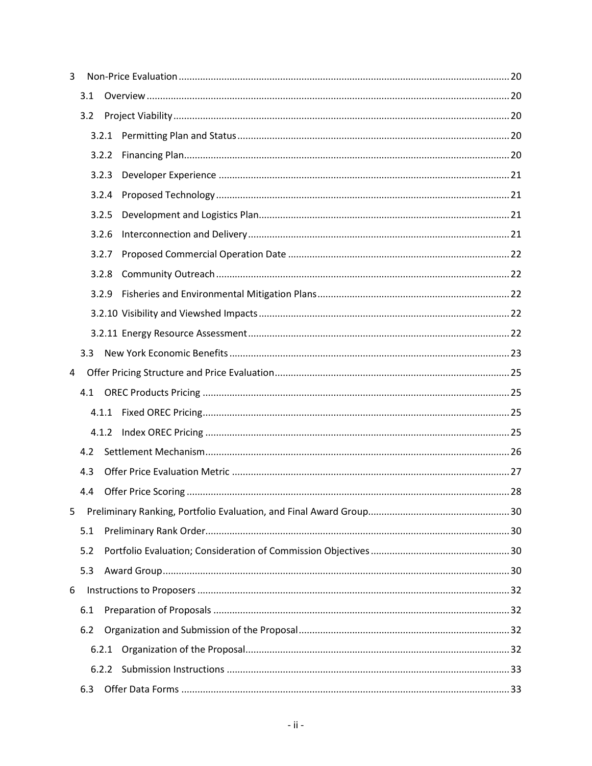| 3 |     |       |  |  |
|---|-----|-------|--|--|
|   | 3.1 |       |  |  |
|   | 3.2 |       |  |  |
|   |     | 3.2.1 |  |  |
|   |     | 3.2.2 |  |  |
|   |     | 3.2.3 |  |  |
|   |     | 3.2.4 |  |  |
|   |     | 3.2.5 |  |  |
|   |     | 3.2.6 |  |  |
|   |     | 3.2.7 |  |  |
|   |     | 3.2.8 |  |  |
|   |     | 3.2.9 |  |  |
|   |     |       |  |  |
|   |     |       |  |  |
|   | 3.3 |       |  |  |
| 4 |     |       |  |  |
|   | 4.1 |       |  |  |
|   |     |       |  |  |
|   |     | 4.1.2 |  |  |
|   | 4.2 |       |  |  |
|   | 4.3 |       |  |  |
|   | 4.4 |       |  |  |
| 5 |     |       |  |  |
|   | 5.1 |       |  |  |
|   | 5.2 |       |  |  |
|   | 5.3 |       |  |  |
| 6 |     |       |  |  |
|   | 6.1 |       |  |  |
|   | 6.2 |       |  |  |
|   |     | 6.2.1 |  |  |
|   |     |       |  |  |
|   | 6.3 |       |  |  |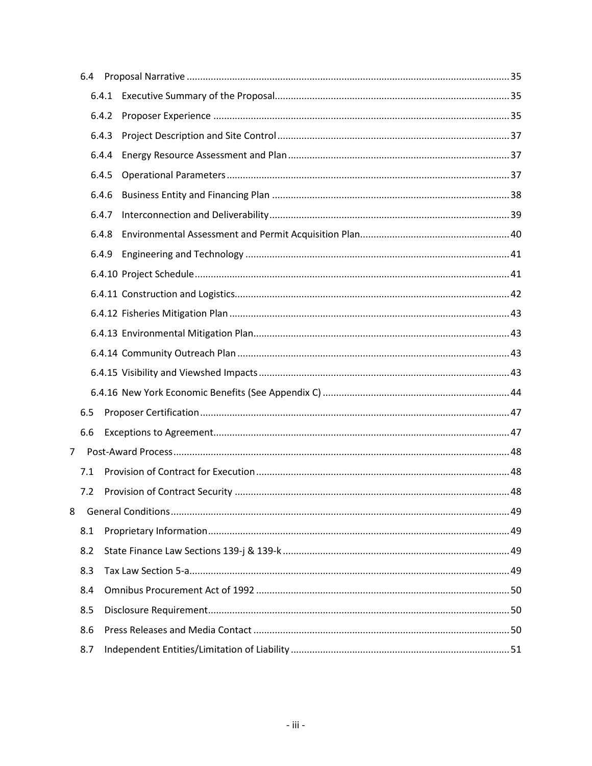|                | 6.4 |       |  |
|----------------|-----|-------|--|
|                |     | 6.4.1 |  |
|                |     | 6.4.2 |  |
|                |     | 6.4.3 |  |
|                |     | 6.4.4 |  |
|                |     | 6.4.5 |  |
|                |     | 6.4.6 |  |
|                |     | 6.4.7 |  |
|                |     | 6.4.8 |  |
|                |     | 6.4.9 |  |
|                |     |       |  |
|                |     |       |  |
|                |     |       |  |
|                |     |       |  |
|                |     |       |  |
|                |     |       |  |
|                |     |       |  |
|                | 6.5 |       |  |
|                | 6.6 |       |  |
| $\overline{7}$ |     |       |  |
|                | 7.1 |       |  |
|                | 7.2 |       |  |
| 8              |     |       |  |
|                | 8.1 |       |  |
|                | 8.2 |       |  |
|                | 8.3 |       |  |
|                | 8.4 |       |  |
|                | 8.5 |       |  |
|                | 8.6 |       |  |
|                | 8.7 |       |  |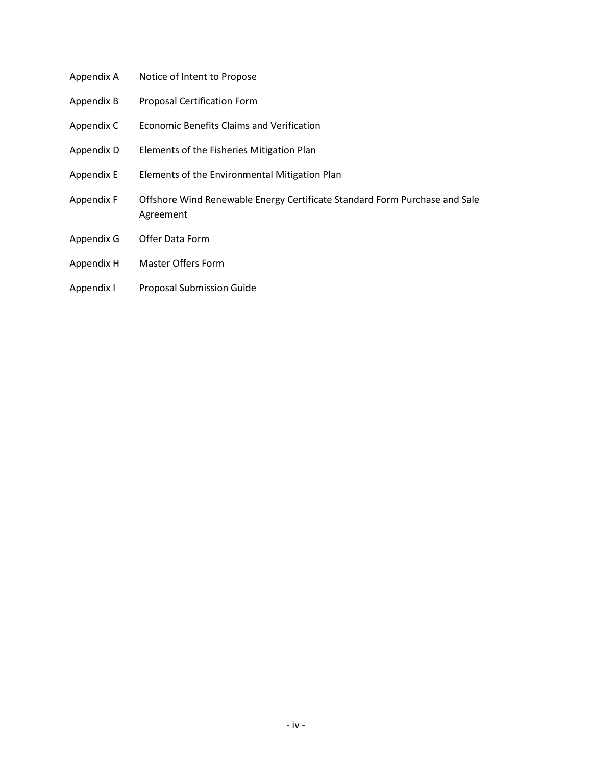- Appendix A Notice of Intent to Propose Appendix B Proposal Certification Form Appendix C Economic Benefits Claims and Verification Appendix D Elements of the Fisheries Mitigation Plan Appendix E Elements of the Environmental Mitigation Plan Appendix F Offshore Wind Renewable Energy Certificate Standard Form Purchase and Sale Agreement Appendix G Offer Data Form
	- Appendix H Master Offers Form
	- Appendix I Proposal Submission Guide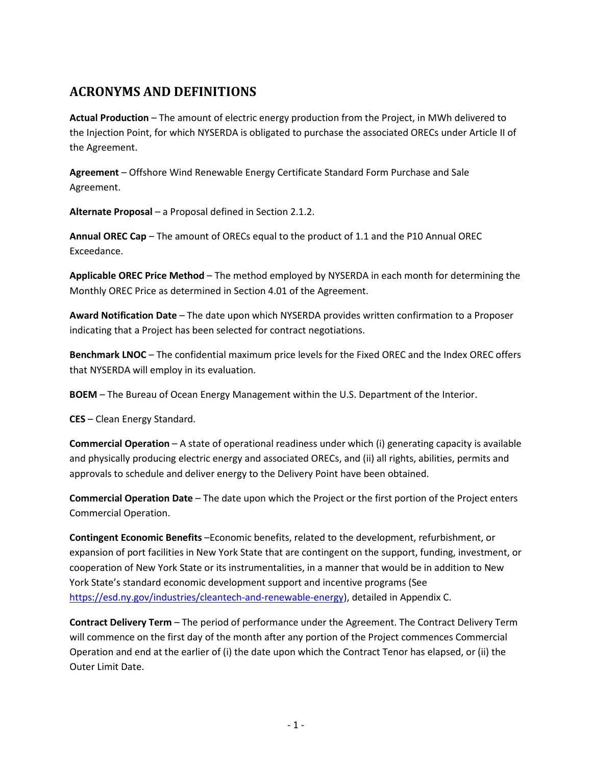# <span id="page-5-0"></span>**ACRONYMS AND DEFINITIONS**

**Actual Production** – The amount of electric energy production from the Project, in MWh delivered to the Injection Point, for which NYSERDA is obligated to purchase the associated ORECs under Article II of the Agreement.

**Agreement** – Offshore Wind Renewable Energy Certificate Standard Form Purchase and Sale Agreement.

**Alternate Proposal** – a Proposal defined in Sectio[n 2.1.2.](#page-15-3)

**Annual OREC Cap** – The amount of ORECs equal to the product of 1.1 and the P10 Annual OREC Exceedance.

**Applicable OREC Price Method** – The method employed by NYSERDA in each month for determining the Monthly OREC Price as determined in Section 4.01 of the Agreement.

**Award Notification Date** – The date upon which NYSERDA provides written confirmation to a Proposer indicating that a Project has been selected for contract negotiations.

**Benchmark LNOC** – The confidential maximum price levels for the Fixed OREC and the Index OREC offers that NYSERDA will employ in its evaluation.

**BOEM** – The Bureau of Ocean Energy Management within the U.S. Department of the Interior.

**CES** – Clean Energy Standard.

**Commercial Operation** – A state of operational readiness under which (i) generating capacity is available and physically producing electric energy and associated ORECs, and (ii) all rights, abilities, permits and approvals to schedule and deliver energy to the Delivery Point have been obtained.

**Commercial Operation Date** – The date upon which the Project or the first portion of the Project enters Commercial Operation.

**Contingent Economic Benefits** –Economic benefits, related to the development, refurbishment, or expansion of port facilities in New York State that are contingent on the support, funding, investment, or cooperation of New York State or its instrumentalities, in a manner that would be in addition to New York State's standard economic development support and incentive programs (See [https://esd.ny.gov/industries/cleantech-and-renewable-energy\)](https://esd.ny.gov/industries/cleantech-and-renewable-energy), detailed in Appendix C.

**Contract Delivery Term** – The period of performance under the Agreement. The Contract Delivery Term will commence on the first day of the month after any portion of the Project commences Commercial Operation and end at the earlier of (i) the date upon which the Contract Tenor has elapsed, or (ii) the Outer Limit Date.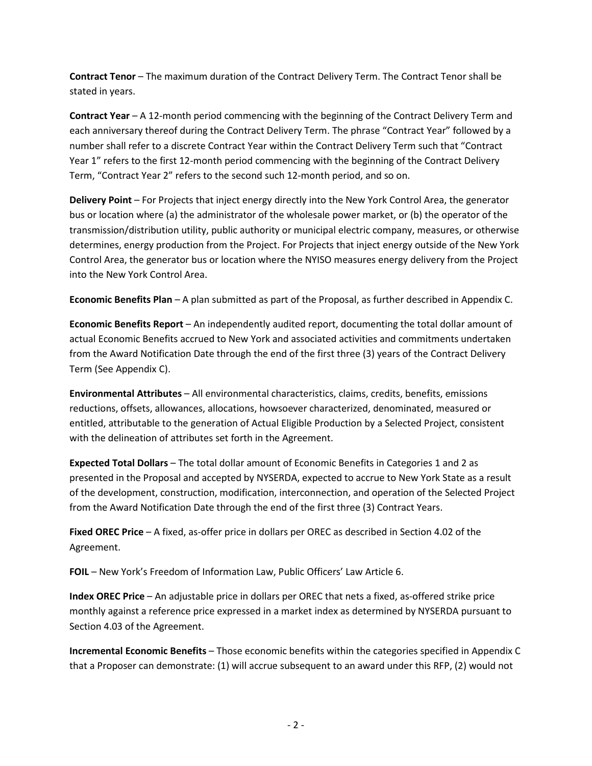**Contract Tenor** – The maximum duration of the Contract Delivery Term. The Contract Tenor shall be stated in years.

**Contract Year** – A 12-month period commencing with the beginning of the Contract Delivery Term and each anniversary thereof during the Contract Delivery Term. The phrase "Contract Year" followed by a number shall refer to a discrete Contract Year within the Contract Delivery Term such that "Contract Year 1" refers to the first 12-month period commencing with the beginning of the Contract Delivery Term, "Contract Year 2" refers to the second such 12-month period, and so on.

**Delivery Point** – For Projects that inject energy directly into the New York Control Area, the generator bus or location where (a) the administrator of the wholesale power market, or (b) the operator of the transmission/distribution utility, public authority or municipal electric company, measures, or otherwise determines, energy production from the Project. For Projects that inject energy outside of the New York Control Area, the generator bus or location where the NYISO measures energy delivery from the Project into the New York Control Area.

**Economic Benefits Plan** – A plan submitted as part of the Proposal, as further described in Appendix C.

**Economic Benefits Report** – An independently audited report, documenting the total dollar amount of actual Economic Benefits accrued to New York and associated activities and commitments undertaken from the Award Notification Date through the end of the first three (3) years of the Contract Delivery Term (See Appendix C).

**Environmental Attributes** – All environmental characteristics, claims, credits, benefits, emissions reductions, offsets, allowances, allocations, howsoever characterized, denominated, measured or entitled, attributable to the generation of Actual Eligible Production by a Selected Project, consistent with the delineation of attributes set forth in the Agreement.

**Expected Total Dollars** – The total dollar amount of Economic Benefits in Categories 1 and 2 as presented in the Proposal and accepted by NYSERDA, expected to accrue to New York State as a result of the development, construction, modification, interconnection, and operation of the Selected Project from the Award Notification Date through the end of the first three (3) Contract Years.

**Fixed OREC Price** – A fixed, as-offer price in dollars per OREC as described in Section 4.02 of the Agreement.

**FOIL** – New York's Freedom of Information Law, Public Officers' Law Article 6.

**Index OREC Price** – An adjustable price in dollars per OREC that nets a fixed, as-offered strike price monthly against a reference price expressed in a market index as determined by NYSERDA pursuant to Section 4.03 of the Agreement.

**Incremental Economic Benefits** – Those economic benefits within the categories specified in Appendix C that a Proposer can demonstrate: (1) will accrue subsequent to an award under this RFP, (2) would not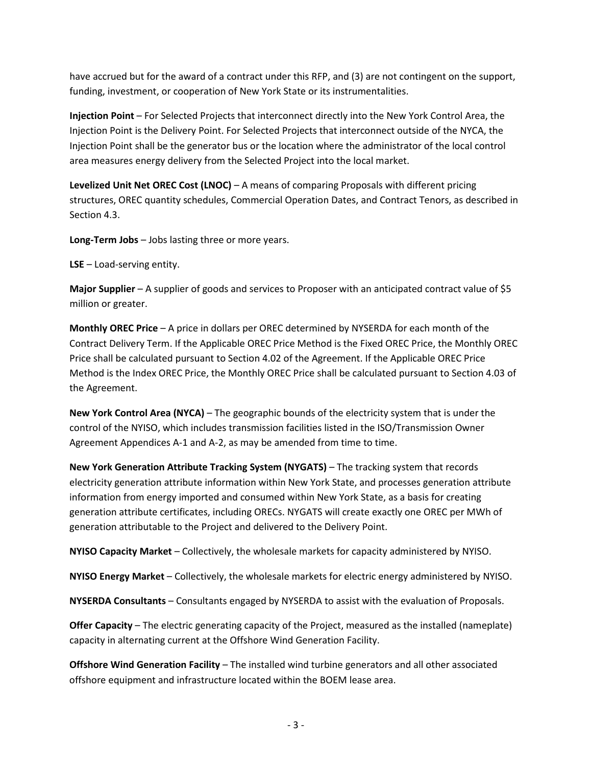have accrued but for the award of a contract under this RFP, and (3) are not contingent on the support, funding, investment, or cooperation of New York State or its instrumentalities.

**Injection Point** – For Selected Projects that interconnect directly into the New York Control Area, the Injection Point is the Delivery Point. For Selected Projects that interconnect outside of the NYCA, the Injection Point shall be the generator bus or the location where the administrator of the local control area measures energy delivery from the Selected Project into the local market.

**Levelized Unit Net OREC Cost (LNOC)** – A means of comparing Proposals with different pricing structures, OREC quantity schedules, Commercial Operation Dates, and Contract Tenors, as described in Sectio[n 4.3.](#page-31-0)

**Long-Term Jobs** – Jobs lasting three or more years.

**LSE** – Load-serving entity.

**Major Supplier** – A supplier of goods and services to Proposer with an anticipated contract value of \$5 million or greater.

**Monthly OREC Price** – A price in dollars per OREC determined by NYSERDA for each month of the Contract Delivery Term. If the Applicable OREC Price Method is the Fixed OREC Price, the Monthly OREC Price shall be calculated pursuant to Section 4.02 of the Agreement. If the Applicable OREC Price Method is the Index OREC Price, the Monthly OREC Price shall be calculated pursuant to Section 4.03 of the Agreement.

**New York Control Area (NYCA)** – The geographic bounds of the electricity system that is under the control of the NYISO, which includes transmission facilities listed in the ISO/Transmission Owner Agreement Appendices A-1 and A-2, as may be amended from time to time.

**New York Generation Attribute Tracking System (NYGATS)** – The tracking system that records electricity generation attribute information within New York State, and processes generation attribute information from energy imported and consumed within New York State, as a basis for creating generation attribute certificates, including ORECs. NYGATS will create exactly one OREC per MWh of generation attributable to the Project and delivered to the Delivery Point.

**NYISO Capacity Market** – Collectively, the wholesale markets for capacity administered by NYISO.

**NYISO Energy Market** – Collectively, the wholesale markets for electric energy administered by NYISO.

**NYSERDA Consultants** – Consultants engaged by NYSERDA to assist with the evaluation of Proposals.

**Offer Capacity** – The electric generating capacity of the Project, measured as the installed (nameplate) capacity in alternating current at the Offshore Wind Generation Facility.

**Offshore Wind Generation Facility** – The installed wind turbine generators and all other associated offshore equipment and infrastructure located within the BOEM lease area.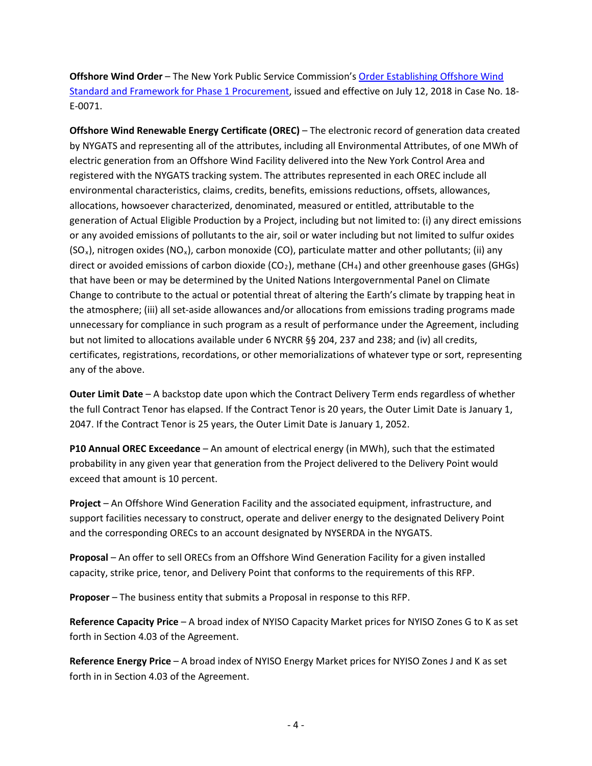**Offshore Wind Order** – The New York Public Service Commission's [Order Establishing Offshore Wind](http://documents.dps.ny.gov/public/Common/ViewDoc.aspx?DocRefId=%7b37EE76DF-81B1-47D4-B10A-73E21ABA1549%7d)  [Standard and Framework for Phase 1 Procurement,](http://documents.dps.ny.gov/public/Common/ViewDoc.aspx?DocRefId=%7b37EE76DF-81B1-47D4-B10A-73E21ABA1549%7d) issued and effective on July 12, 2018 in Case No. 18- E-0071.

**Offshore Wind Renewable Energy Certificate (OREC)** – The electronic record of generation data created by NYGATS and representing all of the attributes, including all Environmental Attributes, of one MWh of electric generation from an Offshore Wind Facility delivered into the New York Control Area and registered with the NYGATS tracking system. The attributes represented in each OREC include all environmental characteristics, claims, credits, benefits, emissions reductions, offsets, allowances, allocations, howsoever characterized, denominated, measured or entitled, attributable to the generation of Actual Eligible Production by a Project, including but not limited to: (i) any direct emissions or any avoided emissions of pollutants to the air, soil or water including but not limited to sulfur oxides (SO<sub>x</sub>), nitrogen oxides (NO<sub>x</sub>), carbon monoxide (CO), particulate matter and other pollutants; (ii) any direct or avoided emissions of carbon dioxide ( $CO<sub>2</sub>$ ), methane (CH<sub>4</sub>) and other greenhouse gases (GHGs) that have been or may be determined by the United Nations Intergovernmental Panel on Climate Change to contribute to the actual or potential threat of altering the Earth's climate by trapping heat in the atmosphere; (iii) all set-aside allowances and/or allocations from emissions trading programs made unnecessary for compliance in such program as a result of performance under the Agreement, including but not limited to allocations available under 6 NYCRR §§ 204, 237 and 238; and (iv) all credits, certificates, registrations, recordations, or other memorializations of whatever type or sort, representing any of the above.

**Outer Limit Date** – A backstop date upon which the Contract Delivery Term ends regardless of whether the full Contract Tenor has elapsed. If the Contract Tenor is 20 years, the Outer Limit Date is January 1, 2047. If the Contract Tenor is 25 years, the Outer Limit Date is January 1, 2052.

**P10 Annual OREC Exceedance** – An amount of electrical energy (in MWh), such that the estimated probability in any given year that generation from the Project delivered to the Delivery Point would exceed that amount is 10 percent.

**Project** – An Offshore Wind Generation Facility and the associated equipment, infrastructure, and support facilities necessary to construct, operate and deliver energy to the designated Delivery Point and the corresponding ORECs to an account designated by NYSERDA in the NYGATS.

**Proposal** – An offer to sell ORECs from an Offshore Wind Generation Facility for a given installed capacity, strike price, tenor, and Delivery Point that conforms to the requirements of this RFP.

**Proposer** – The business entity that submits a Proposal in response to this RFP.

**Reference Capacity Price** – A broad index of NYISO Capacity Market prices for NYISO Zones G to K as set forth in Section 4.03 of the Agreement.

**Reference Energy Price** – A broad index of NYISO Energy Market prices for NYISO Zones J and K as set forth in in Section 4.03 of the Agreement.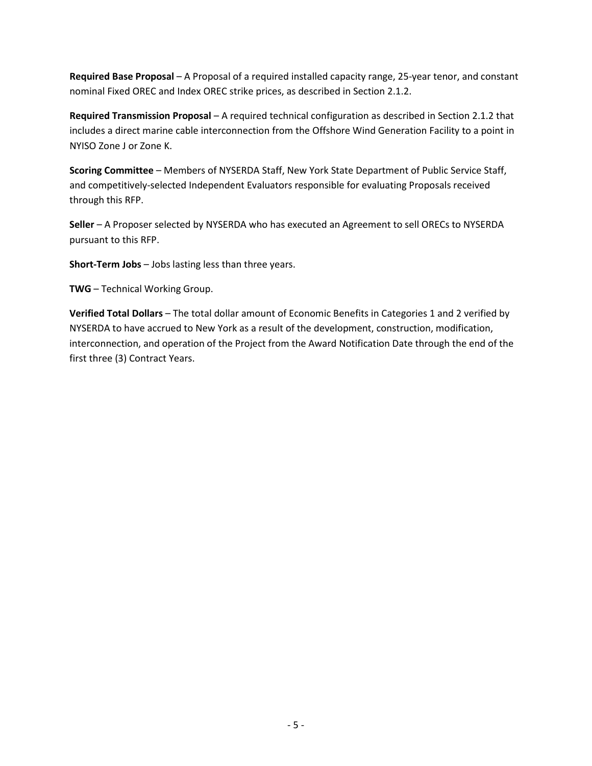**Required Base Proposal** – A Proposal of a required installed capacity range, 25-year tenor, and constant nominal Fixed OREC and Index OREC strike prices, as described in Section [2.1.2.](#page-15-3)

**Required Transmission Proposal** – A required technical configuration as described in Sectio[n 2.1.2](#page-15-3) that includes a direct marine cable interconnection from the Offshore Wind Generation Facility to a point in NYISO Zone J or Zone K.

**Scoring Committee** – Members of NYSERDA Staff, New York State Department of Public Service Staff, and competitively-selected Independent Evaluators responsible for evaluating Proposals received through this RFP.

**Seller** – A Proposer selected by NYSERDA who has executed an Agreement to sell ORECs to NYSERDA pursuant to this RFP.

**Short-Term Jobs** – Jobs lasting less than three years.

**TWG** – Technical Working Group.

**Verified Total Dollars** – The total dollar amount of Economic Benefits in Categories 1 and 2 verified by NYSERDA to have accrued to New York as a result of the development, construction, modification, interconnection, and operation of the Project from the Award Notification Date through the end of the first three (3) Contract Years.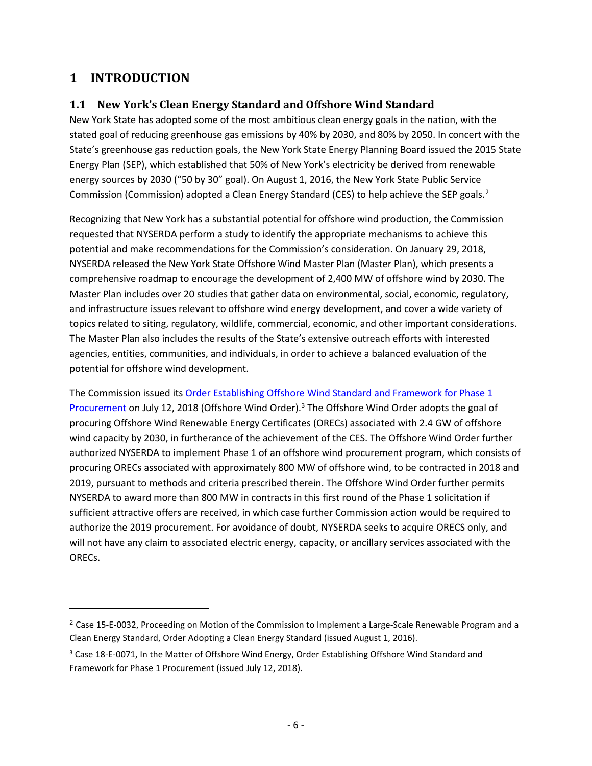# <span id="page-10-0"></span>**1 INTRODUCTION**

 $\overline{\phantom{a}}$ 

# <span id="page-10-1"></span>**1.1 New York's Clean Energy Standard and Offshore Wind Standard**

New York State has adopted some of the most ambitious clean energy goals in the nation, with the stated goal of reducing greenhouse gas emissions by 40% by 2030, and 80% by 2050. In concert with the State's greenhouse gas reduction goals, the New York State Energy Planning Board issued the 2015 State Energy Plan (SEP), which established that 50% of New York's electricity be derived from renewable energy sources by 2030 ("50 by 30" goal). On August 1, 2016, the New York State Public Service Commission (Commission) adopted a Clean Energy Standard (CES) to help achieve the SEP goals.<sup>[2](#page-10-2)</sup>

Recognizing that New York has a substantial potential for offshore wind production, the Commission requested that NYSERDA perform a study to identify the appropriate mechanisms to achieve this potential and make recommendations for the Commission's consideration. On January 29, 2018, NYSERDA released the New York State Offshore Wind Master Plan (Master Plan), which presents a comprehensive roadmap to encourage the development of 2,400 MW of offshore wind by 2030. The Master Plan includes over 20 studies that gather data on environmental, social, economic, regulatory, and infrastructure issues relevant to offshore wind energy development, and cover a wide variety of topics related to siting, regulatory, wildlife, commercial, economic, and other important considerations. The Master Plan also includes the results of the State's extensive outreach efforts with interested agencies, entities, communities, and individuals, in order to achieve a balanced evaluation of the potential for offshore wind development.

The Commission issued its Order Establishing Offshore Wind Standard and Framework for Phase 1 [Procurement](http://documents.dps.ny.gov/public/Common/ViewDoc.aspx?DocRefId=%7b37EE76DF-81B1-47D4-B10A-73E21ABA1549%7d) on July 12, 2018 (Offshore Wind Order).[3](#page-10-3) The Offshore Wind Order adopts the goal of procuring Offshore Wind Renewable Energy Certificates (ORECs) associated with 2.4 GW of offshore wind capacity by 2030, in furtherance of the achievement of the CES. The Offshore Wind Order further authorized NYSERDA to implement Phase 1 of an offshore wind procurement program, which consists of procuring ORECs associated with approximately 800 MW of offshore wind, to be contracted in 2018 and 2019, pursuant to methods and criteria prescribed therein. The Offshore Wind Order further permits NYSERDA to award more than 800 MW in contracts in this first round of the Phase 1 solicitation if sufficient attractive offers are received, in which case further Commission action would be required to authorize the 2019 procurement. For avoidance of doubt, NYSERDA seeks to acquire ORECS only, and will not have any claim to associated electric energy, capacity, or ancillary services associated with the ORECs.

<span id="page-10-2"></span><sup>2</sup> Case 15-E-0032, Proceeding on Motion of the Commission to Implement a Large-Scale Renewable Program and a Clean Energy Standard, Order Adopting a Clean Energy Standard (issued August 1, 2016).

<span id="page-10-3"></span><sup>&</sup>lt;sup>3</sup> Case 18-E-0071, In the Matter of Offshore Wind Energy, Order Establishing Offshore Wind Standard and Framework for Phase 1 Procurement (issued July 12, 2018).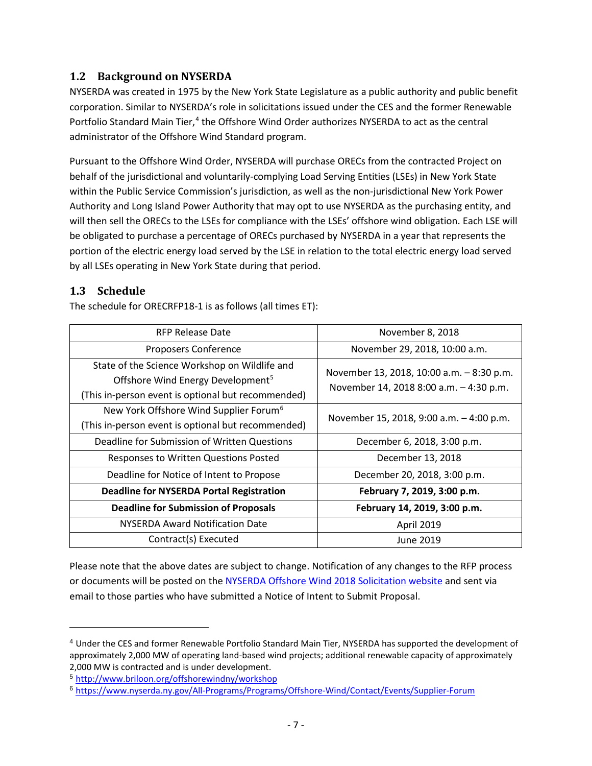## <span id="page-11-0"></span>**1.2 Background on NYSERDA**

NYSERDA was created in 1975 by the New York State Legislature as a public authority and public benefit corporation. Similar to NYSERDA's role in solicitations issued under the CES and the former Renewable Portfolio Standard Main Tier,<sup>[4](#page-11-2)</sup> the Offshore Wind Order authorizes NYSERDA to act as the central administrator of the Offshore Wind Standard program.

Pursuant to the Offshore Wind Order, NYSERDA will purchase ORECs from the contracted Project on behalf of the jurisdictional and voluntarily-complying Load Serving Entities (LSEs) in New York State within the Public Service Commission's jurisdiction, as well as the non-jurisdictional New York Power Authority and Long Island Power Authority that may opt to use NYSERDA as the purchasing entity, and will then sell the ORECs to the LSEs for compliance with the LSEs' offshore wind obligation. Each LSE will be obligated to purchase a percentage of ORECs purchased by NYSERDA in a year that represents the portion of the electric energy load served by the LSE in relation to the total electric energy load served by all LSEs operating in New York State during that period.

## <span id="page-11-1"></span>**1.3 Schedule**

l

The schedule for ORECRFP18-1 is as follows (all times ET):

| RFP Release Date                                                                                                                                     | November 8, 2018                                                                     |  |
|------------------------------------------------------------------------------------------------------------------------------------------------------|--------------------------------------------------------------------------------------|--|
| <b>Proposers Conference</b>                                                                                                                          | November 29, 2018, 10:00 a.m.                                                        |  |
| State of the Science Workshop on Wildlife and<br>Offshore Wind Energy Development <sup>5</sup><br>(This in-person event is optional but recommended) | November 13, 2018, 10:00 a.m. - 8:30 p.m.<br>November 14, 2018 8:00 a.m. - 4:30 p.m. |  |
| New York Offshore Wind Supplier Forum <sup>6</sup><br>(This in-person event is optional but recommended)                                             | November 15, 2018, 9:00 a.m. - 4:00 p.m.                                             |  |
| Deadline for Submission of Written Questions                                                                                                         | December 6, 2018, 3:00 p.m.                                                          |  |
| Responses to Written Questions Posted                                                                                                                | December 13, 2018                                                                    |  |
| Deadline for Notice of Intent to Propose                                                                                                             | December 20, 2018, 3:00 p.m.                                                         |  |
| <b>Deadline for NYSERDA Portal Registration</b>                                                                                                      | February 7, 2019, 3:00 p.m.                                                          |  |
| <b>Deadline for Submission of Proposals</b>                                                                                                          | February 14, 2019, 3:00 p.m.                                                         |  |
| <b>NYSERDA Award Notification Date</b>                                                                                                               | April 2019                                                                           |  |
| Contract(s) Executed                                                                                                                                 | June 2019                                                                            |  |

Please note that the above dates are subject to change. Notification of any changes to the RFP process or documents will be posted on the [NYSERDA Offshore Wind 2018 Solicitation website](https://www.nyserda.ny.gov/offshore-wind-2018-solicitation) and sent via email to those parties who have submitted a Notice of Intent to Submit Proposal.

<span id="page-11-2"></span><sup>4</sup> Under the CES and former Renewable Portfolio Standard Main Tier, NYSERDA has supported the development of approximately 2,000 MW of operating land-based wind projects; additional renewable capacity of approximately 2,000 MW is contracted and is under development.

<span id="page-11-3"></span><sup>5</sup> <http://www.briloon.org/offshorewindny/workshop>

<span id="page-11-4"></span><sup>6</sup> <https://www.nyserda.ny.gov/All-Programs/Programs/Offshore-Wind/Contact/Events/Supplier-Forum>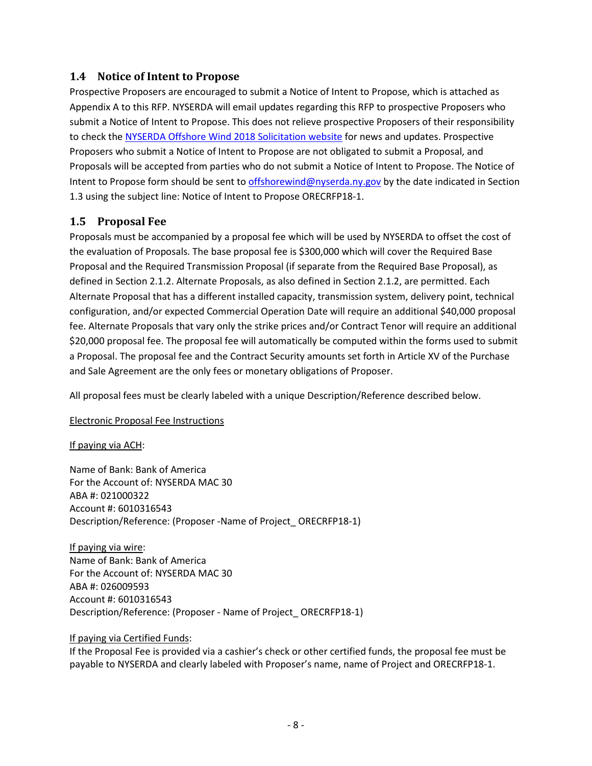### <span id="page-12-0"></span>**1.4 Notice of Intent to Propose**

Prospective Proposers are encouraged to submit a Notice of Intent to Propose, which is attached as Appendix A to this RFP. NYSERDA will email updates regarding this RFP to prospective Proposers who submit a Notice of Intent to Propose. This does not relieve prospective Proposers of their responsibility to check th[e NYSERDA Offshore Wind 2018 Solicitation website](https://www.nyserda.ny.gov/offshore-wind-2018-solicitation) for news and updates. Prospective Proposers who submit a Notice of Intent to Propose are not obligated to submit a Proposal, and Proposals will be accepted from parties who do not submit a Notice of Intent to Propose. The Notice of Intent to Propose form should be sent to [offshorewind@nyserda.ny.gov](mailto:offshorewind@nyserda.ny.gov) by the date indicated in Section [1.3](#page-11-1) using the subject line: Notice of Intent to Propose ORECRFP18-1.

## <span id="page-12-1"></span>**1.5 Proposal Fee**

Proposals must be accompanied by a proposal fee which will be used by NYSERDA to offset the cost of the evaluation of Proposals. The base proposal fee is \$300,000 which will cover the Required Base Proposal and the Required Transmission Proposal (if separate from the Required Base Proposal), as defined in Section [2.1.2.](#page-15-3) Alternate Proposals, as also defined in Section [2.1.2,](#page-15-3) are permitted. Each Alternate Proposal that has a different installed capacity, transmission system, delivery point, technical configuration, and/or expected Commercial Operation Date will require an additional \$40,000 proposal fee. Alternate Proposals that vary only the strike prices and/or Contract Tenor will require an additional \$20,000 proposal fee. The proposal fee will automatically be computed within the forms used to submit a Proposal. The proposal fee and the Contract Security amounts set forth in Article XV of the Purchase and Sale Agreement are the only fees or monetary obligations of Proposer.

All proposal fees must be clearly labeled with a unique Description/Reference described below.

Electronic Proposal Fee Instructions

### If paying via ACH:

Name of Bank: Bank of America For the Account of: NYSERDA MAC 30 ABA #: 021000322 Account #: 6010316543 Description/Reference: (Proposer -Name of Project\_ ORECRFP18-1)

If paying via wire: Name of Bank: Bank of America For the Account of: NYSERDA MAC 30 ABA #: 026009593 Account #: 6010316543 Description/Reference: (Proposer - Name of Project\_ ORECRFP18-1)

#### If paying via Certified Funds:

If the Proposal Fee is provided via a cashier's check or other certified funds, the proposal fee must be payable to NYSERDA and clearly labeled with Proposer's name, name of Project and ORECRFP18-1.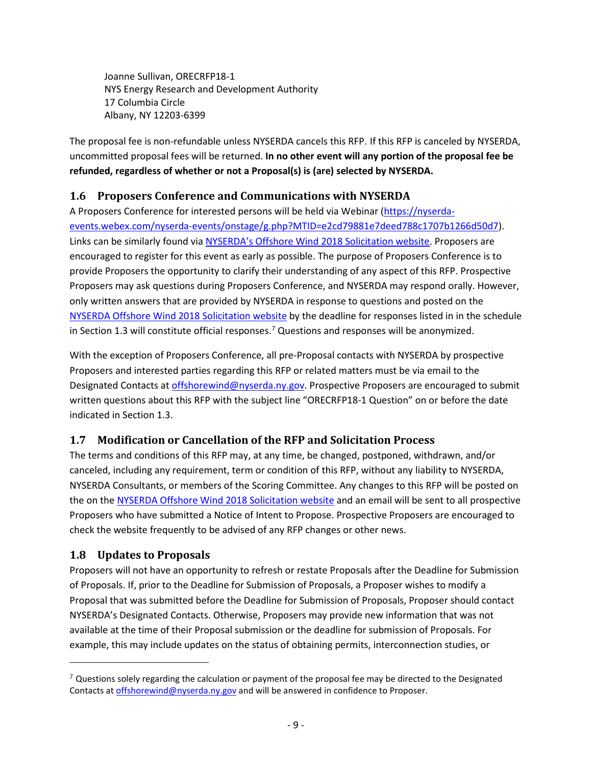Joanne Sullivan, ORECRFP18-1 NYS Energy Research and Development Authority 17 Columbia Circle Albany, NY 12203-6399

The proposal fee is non-refundable unless NYSERDA cancels this RFP. If this RFP is canceled by NYSERDA, uncommitted proposal fees will be returned. **In no other event will any portion of the proposal fee be refunded, regardless of whether or not a Proposal(s) is (are) selected by NYSERDA.**

# <span id="page-13-0"></span>**1.6 Proposers Conference and Communications with NYSERDA**

A Proposers Conference for interested persons will be held via [Webinar](https://nyserda-events.webex.com/mw3300/mywebex/default.do?nomenu=true&siteurl=nyserda-events&service=6&rnd=0.3031690116895227&main_url=https%3A%2F%2Fnyserda-events.webex.com%2Fec3300%2Feventcenter%2Fevent%2FeventAction.do%3FtheAction%3Ddetail%26%26%26EMK%3D4832534b0000000445e0aedaad63e96333702179a55236078ad9b8278a92c879febfb0476996ef1a%26siteurl%3Dnyserda-events%26confViewID%3D105418977852816417%26encryptTicket%3DSDJTSwAAAARl_SGJSyfbJ05puWf3wkCjMyuzHQoXwPWmzhPHGDUvSg2%26) [\(https://nyserda](https://nyserda-events.webex.com/nyserda-events/onstage/g.php?MTID=e2cd79881e7deed788c1707b1266d50d7)[events.webex.com/nyserda-events/onstage/g.php?MTID=e2cd79881e7deed788c1707b1266d50d7\)](https://nyserda-events.webex.com/nyserda-events/onstage/g.php?MTID=e2cd79881e7deed788c1707b1266d50d7). Links can be similarly found via [NYSERDA's Offshore Wind](https://www.nyserda.ny.gov/offshore-wind-2018-solicitation) 2018 Solicitation website. Proposers are encouraged to register for this event as early as possible. The purpose of Proposers Conference is to provide Proposers the opportunity to clarify their understanding of any aspect of this RFP. Prospective Proposers may ask questions during Proposers Conference, and NYSERDA may respond orally. However, only written answers that are provided by NYSERDA in response to questions and posted on the [NYSERDA Offshore Wind 2018 Solicitation website](https://www.nyserda.ny.gov/offshore-wind-2018-solicitation) by the deadline for responses listed in in the schedule in Section [1.3](#page-11-1) will constitute official responses.<sup>[7](#page-13-3)</sup> Questions and responses will be anonymized.

With the exception of Proposers Conference, all pre-Proposal contacts with NYSERDA by prospective Proposers and interested parties regarding this RFP or related matters must be via email to the Designated Contacts a[t offshorewind@nyserda.ny.gov.](mailto:offshorewind@nyserda.ny.gov) Prospective Proposers are encouraged to submit written questions about this RFP with the subject line "ORECRFP18-1 Question" on or before the date indicated in Section [1.3.](#page-11-1)

# <span id="page-13-1"></span>**1.7 Modification or Cancellation of the RFP and Solicitation Process**

The terms and conditions of this RFP may, at any time, be changed, postponed, withdrawn, and/or canceled, including any requirement, term or condition of this RFP, without any liability to NYSERDA, NYSERDA Consultants, or members of the Scoring Committee. Any changes to this RFP will be posted on the on the [NYSERDA Offshore Wind 2018 Solicitation website](https://www.nyserda.ny.gov/offshore-wind-2018-solicitation) and an email will be sent to all prospective Proposers who have submitted a Notice of Intent to Propose. Prospective Proposers are encouraged to check the website frequently to be advised of any RFP changes or other news.

### <span id="page-13-2"></span>**1.8 Updates to Proposals**

 $\overline{\phantom{a}}$ 

Proposers will not have an opportunity to refresh or restate Proposals after the Deadline for Submission of Proposals. If, prior to the Deadline for Submission of Proposals, a Proposer wishes to modify a Proposal that was submitted before the Deadline for Submission of Proposals, Proposer should contact NYSERDA's Designated Contacts. Otherwise, Proposers may provide new information that was not available at the time of their Proposal submission or the deadline for submission of Proposals. For example, this may include updates on the status of obtaining permits, interconnection studies, or

<span id="page-13-3"></span> $7$  Questions solely regarding the calculation or payment of the proposal fee may be directed to the Designated Contacts at [offshorewind@nyserda.ny.gov](mailto:offshorewind@nyserda.ny.gov) and will be answered in confidence to Proposer.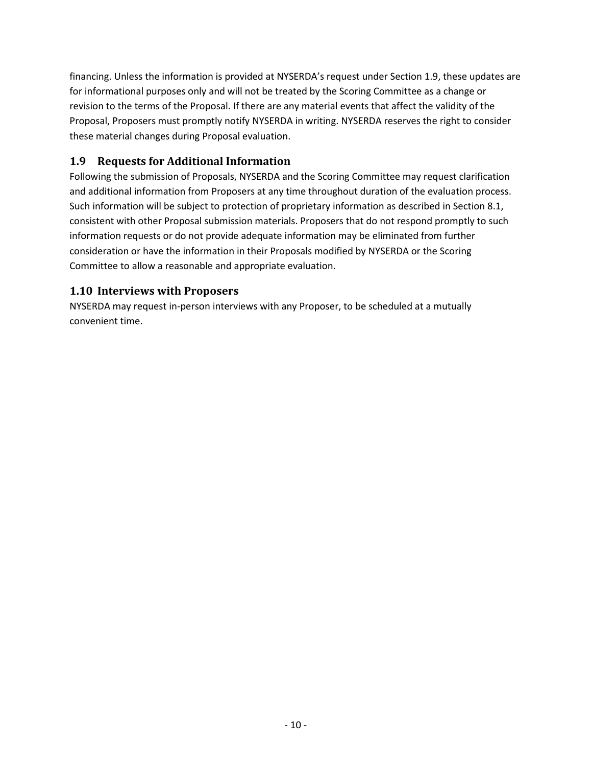financing. Unless the information is provided at NYSERDA's request under Section [1.9,](#page-14-0) these updates are for informational purposes only and will not be treated by the Scoring Committee as a change or revision to the terms of the Proposal. If there are any material events that affect the validity of the Proposal, Proposers must promptly notify NYSERDA in writing. NYSERDA reserves the right to consider these material changes during Proposal evaluation.

# <span id="page-14-0"></span>**1.9 Requests for Additional Information**

Following the submission of Proposals, NYSERDA and the Scoring Committee may request clarification and additional information from Proposers at any time throughout duration of the evaluation process. Such information will be subject to protection of proprietary information as described in Section [8.1,](#page-53-1) consistent with other Proposal submission materials. Proposers that do not respond promptly to such information requests or do not provide adequate information may be eliminated from further consideration or have the information in their Proposals modified by NYSERDA or the Scoring Committee to allow a reasonable and appropriate evaluation.

# <span id="page-14-1"></span>**1.10 Interviews with Proposers**

NYSERDA may request in-person interviews with any Proposer, to be scheduled at a mutually convenient time.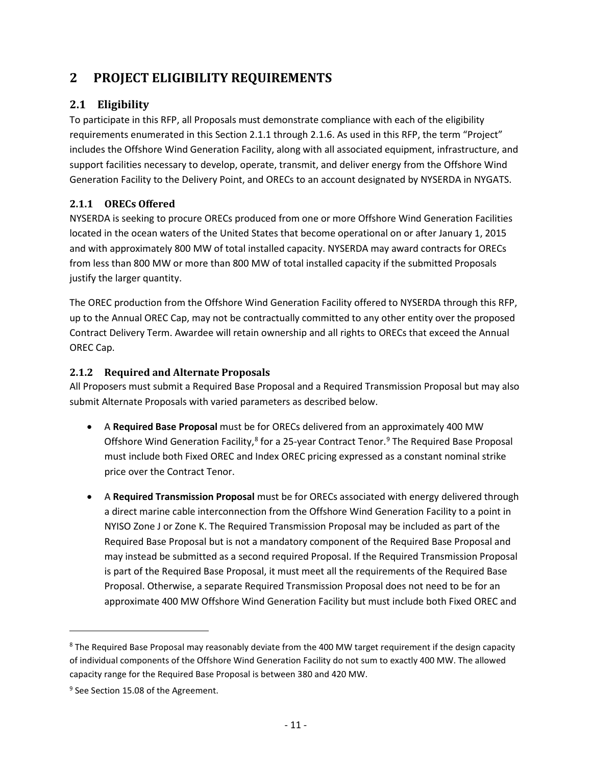# <span id="page-15-0"></span>**2 PROJECT ELIGIBILITY REQUIREMENTS**

# <span id="page-15-1"></span>**2.1 Eligibility**

To participate in this RFP, all Proposals must demonstrate compliance with each of the eligibility requirements enumerated in this Section 2.1.1 through 2.1.6. As used in this RFP, the term "Project" includes the Offshore Wind Generation Facility, along with all associated equipment, infrastructure, and support facilities necessary to develop, operate, transmit, and deliver energy from the Offshore Wind Generation Facility to the Delivery Point, and ORECs to an account designated by NYSERDA in NYGATS.

# <span id="page-15-2"></span>**2.1.1 ORECs Offered**

NYSERDA is seeking to procure ORECs produced from one or more Offshore Wind Generation Facilities located in the ocean waters of the United States that become operational on or after January 1, 2015 and with approximately 800 MW of total installed capacity. NYSERDA may award contracts for ORECs from less than 800 MW or more than 800 MW of total installed capacity if the submitted Proposals justify the larger quantity.

The OREC production from the Offshore Wind Generation Facility offered to NYSERDA through this RFP, up to the Annual OREC Cap, may not be contractually committed to any other entity over the proposed Contract Delivery Term. Awardee will retain ownership and all rights to ORECs that exceed the Annual OREC Cap.

# <span id="page-15-3"></span>**2.1.2 Required and Alternate Proposals**

All Proposers must submit a Required Base Proposal and a Required Transmission Proposal but may also submit Alternate Proposals with varied parameters as described below.

- A **Required Base Proposal** must be for ORECs delivered from an approximately 400 MW Offshore Wind Generation Facility,<sup>[8](#page-15-4)</sup> for a 25-year Contract Tenor.<sup>[9](#page-15-5)</sup> The Required Base Proposal must include both Fixed OREC and Index OREC pricing expressed as a constant nominal strike price over the Contract Tenor.
- A **Required Transmission Proposal** must be for ORECs associated with energy delivered through a direct marine cable interconnection from the Offshore Wind Generation Facility to a point in NYISO Zone J or Zone K. The Required Transmission Proposal may be included as part of the Required Base Proposal but is not a mandatory component of the Required Base Proposal and may instead be submitted as a second required Proposal. If the Required Transmission Proposal is part of the Required Base Proposal, it must meet all the requirements of the Required Base Proposal. Otherwise, a separate Required Transmission Proposal does not need to be for an approximate 400 MW Offshore Wind Generation Facility but must include both Fixed OREC and

l

<span id="page-15-4"></span><sup>&</sup>lt;sup>8</sup> The Required Base Proposal may reasonably deviate from the 400 MW target requirement if the design capacity of individual components of the Offshore Wind Generation Facility do not sum to exactly 400 MW. The allowed capacity range for the Required Base Proposal is between 380 and 420 MW.

<span id="page-15-5"></span><sup>&</sup>lt;sup>9</sup> See Section 15.08 of the Agreement.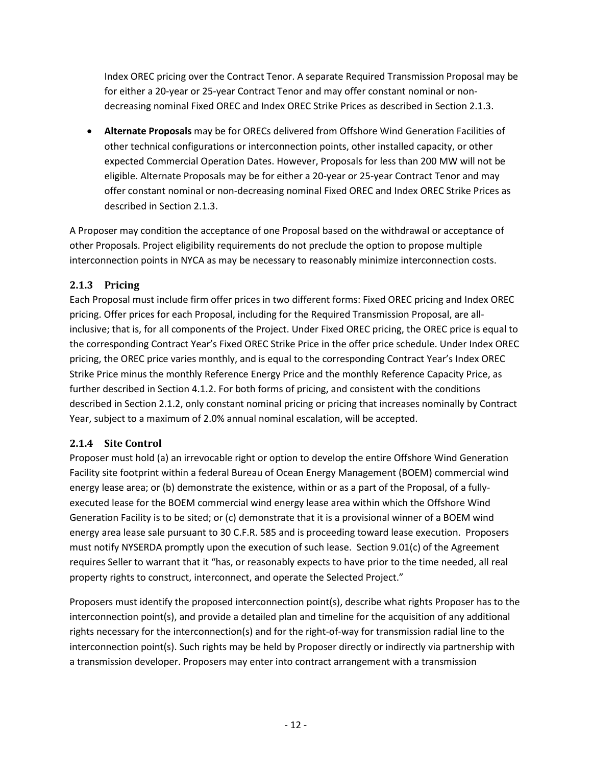Index OREC pricing over the Contract Tenor. A separate Required Transmission Proposal may be for either a 20-year or 25-year Contract Tenor and may offer constant nominal or nondecreasing nominal Fixed OREC and Index OREC Strike Prices as described in Sectio[n 2.1.3.](#page-16-0)

• **Alternate Proposals** may be for ORECs delivered from Offshore Wind Generation Facilities of other technical configurations or interconnection points, other installed capacity, or other expected Commercial Operation Dates. However, Proposals for less than 200 MW will not be eligible. Alternate Proposals may be for either a 20-year or 25-year Contract Tenor and may offer constant nominal or non-decreasing nominal Fixed OREC and Index OREC Strike Prices as described in Sectio[n 2.1.3.](#page-16-0)

A Proposer may condition the acceptance of one Proposal based on the withdrawal or acceptance of other Proposals. Project eligibility requirements do not preclude the option to propose multiple interconnection points in NYCA as may be necessary to reasonably minimize interconnection costs.

## <span id="page-16-0"></span>**2.1.3 Pricing**

Each Proposal must include firm offer prices in two different forms: Fixed OREC pricing and Index OREC pricing. Offer prices for each Proposal, including for the Required Transmission Proposal, are allinclusive; that is, for all components of the Project. Under Fixed OREC pricing, the OREC price is equal to the corresponding Contract Year's Fixed OREC Strike Price in the offer price schedule. Under Index OREC pricing, the OREC price varies monthly, and is equal to the corresponding Contract Year's Index OREC Strike Price minus the monthly Reference Energy Price and the monthly Reference Capacity Price, as further described in Sectio[n 4.1.2.](#page-29-3) For both forms of pricing, and consistent with the conditions described in Section [2.1.2,](#page-15-3) only constant nominal pricing or pricing that increases nominally by Contract Year, subject to a maximum of 2.0% annual nominal escalation, will be accepted.

### <span id="page-16-1"></span>**2.1.4 Site Control**

Proposer must hold (a) an irrevocable right or option to develop the entire Offshore Wind Generation Facility site footprint within a federal Bureau of Ocean Energy Management (BOEM) commercial wind energy lease area; or (b) demonstrate the existence, within or as a part of the Proposal, of a fullyexecuted lease for the BOEM commercial wind energy lease area within which the Offshore Wind Generation Facility is to be sited; or (c) demonstrate that it is a provisional winner of a BOEM wind energy area lease sale pursuant to 30 C.F.R. 585 and is proceeding toward lease execution. Proposers must notify NYSERDA promptly upon the execution of such lease. Section 9.01(c) of the Agreement requires Seller to warrant that it "has, or reasonably expects to have prior to the time needed, all real property rights to construct, interconnect, and operate the Selected Project."

Proposers must identify the proposed interconnection point(s), describe what rights Proposer has to the interconnection point(s), and provide a detailed plan and timeline for the acquisition of any additional rights necessary for the interconnection(s) and for the right-of-way for transmission radial line to the interconnection point(s). Such rights may be held by Proposer directly or indirectly via partnership with a transmission developer. Proposers may enter into contract arrangement with a transmission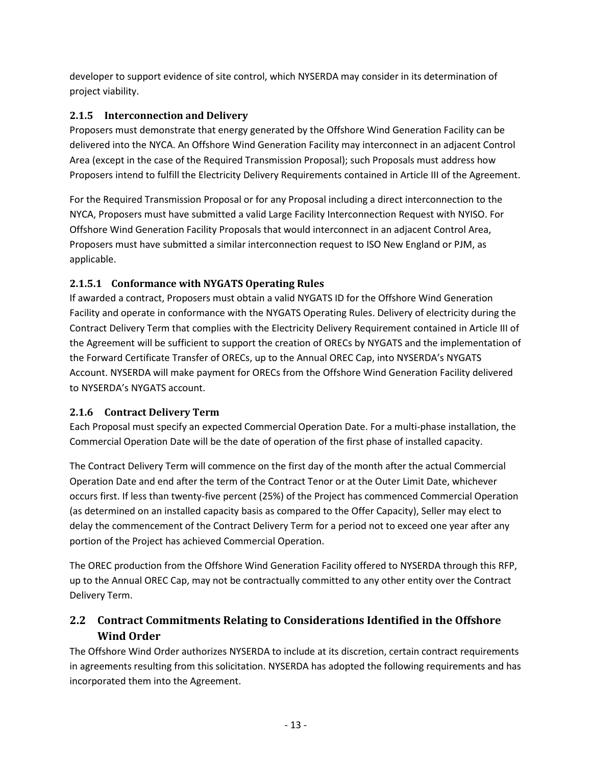developer to support evidence of site control, which NYSERDA may consider in its determination of project viability.

## <span id="page-17-0"></span>**2.1.5 Interconnection and Delivery**

Proposers must demonstrate that energy generated by the Offshore Wind Generation Facility can be delivered into the NYCA. An Offshore Wind Generation Facility may interconnect in an adjacent Control Area (except in the case of the Required Transmission Proposal); such Proposals must address how Proposers intend to fulfill the Electricity Delivery Requirements contained in Article III of the Agreement.

For the Required Transmission Proposal or for any Proposal including a direct interconnection to the NYCA, Proposers must have submitted a valid Large Facility Interconnection Request with NYISO. For Offshore Wind Generation Facility Proposals that would interconnect in an adjacent Control Area, Proposers must have submitted a similar interconnection request to ISO New England or PJM, as applicable.

# **2.1.5.1 Conformance with NYGATS Operating Rules**

If awarded a contract, Proposers must obtain a valid NYGATS ID for the Offshore Wind Generation Facility and operate in conformance with the NYGATS Operating Rules. Delivery of electricity during the Contract Delivery Term that complies with the Electricity Delivery Requirement contained in Article III of the Agreement will be sufficient to support the creation of ORECs by NYGATS and the implementation of the Forward Certificate Transfer of ORECs, up to the Annual OREC Cap, into NYSERDA's NYGATS Account. NYSERDA will make payment for ORECs from the Offshore Wind Generation Facility delivered to NYSERDA's NYGATS account.

### <span id="page-17-1"></span>**2.1.6 Contract Delivery Term**

Each Proposal must specify an expected Commercial Operation Date. For a multi-phase installation, the Commercial Operation Date will be the date of operation of the first phase of installed capacity.

The Contract Delivery Term will commence on the first day of the month after the actual Commercial Operation Date and end after the term of the Contract Tenor or at the Outer Limit Date, whichever occurs first. If less than twenty-five percent (25%) of the Project has commenced Commercial Operation (as determined on an installed capacity basis as compared to the Offer Capacity), Seller may elect to delay the commencement of the Contract Delivery Term for a period not to exceed one year after any portion of the Project has achieved Commercial Operation.

The OREC production from the Offshore Wind Generation Facility offered to NYSERDA through this RFP, up to the Annual OREC Cap, may not be contractually committed to any other entity over the Contract Delivery Term.

# <span id="page-17-2"></span>**2.2 Contract Commitments Relating to Considerations Identified in the Offshore Wind Order**

The Offshore Wind Order authorizes NYSERDA to include at its discretion, certain contract requirements in agreements resulting from this solicitation. NYSERDA has adopted the following requirements and has incorporated them into the Agreement.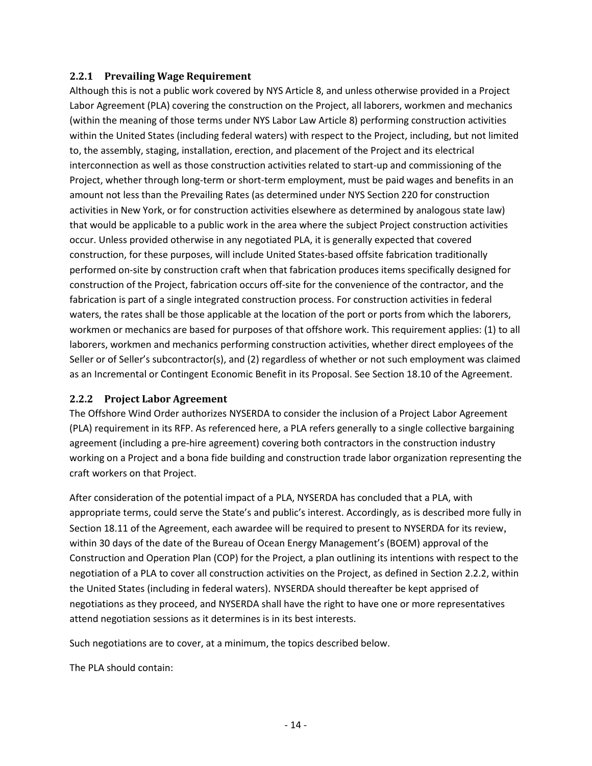### <span id="page-18-0"></span>**2.2.1 Prevailing Wage Requirement**

Although this is not a public work covered by NYS Article 8, and unless otherwise provided in a Project Labor Agreement (PLA) covering the construction on the Project, all laborers, workmen and mechanics (within the meaning of those terms under NYS Labor Law Article 8) performing construction activities within the United States (including federal waters) with respect to the Project, including, but not limited to, the assembly, staging, installation, erection, and placement of the Project and its electrical interconnection as well as those construction activities related to start-up and commissioning of the Project, whether through long-term or short-term employment, must be paid wages and benefits in an amount not less than the Prevailing Rates (as determined under NYS Section 220 for construction activities in New York, or for construction activities elsewhere as determined by analogous state law) that would be applicable to a public work in the area where the subject Project construction activities occur. Unless provided otherwise in any negotiated PLA, it is generally expected that covered construction, for these purposes, will include United States-based offsite fabrication traditionally performed on-site by construction craft when that fabrication produces items specifically designed for construction of the Project, fabrication occurs off-site for the convenience of the contractor, and the fabrication is part of a single integrated construction process. For construction activities in federal waters, the rates shall be those applicable at the location of the port or ports from which the laborers, workmen or mechanics are based for purposes of that offshore work. This requirement applies: (1) to all laborers, workmen and mechanics performing construction activities, whether direct employees of the Seller or of Seller's subcontractor(s), and (2) regardless of whether or not such employment was claimed as an Incremental or Contingent Economic Benefit in its Proposal. See Section 18.10 of the Agreement.

### <span id="page-18-1"></span>**2.2.2 Project Labor Agreement**

The Offshore Wind Order authorizes NYSERDA to consider the inclusion of a Project Labor Agreement (PLA) requirement in its RFP. As referenced here, a PLA refers generally to a single collective bargaining agreement (including a pre-hire agreement) covering both contractors in the construction industry working on a Project and a bona fide building and construction trade labor organization representing the craft workers on that Project.

After consideration of the potential impact of a PLA, NYSERDA has concluded that a PLA, with appropriate terms, could serve the State's and public's interest. Accordingly, as is described more fully in Section 18.11 of the Agreement, each awardee will be required to present to NYSERDA for its review, within 30 days of the date of the Bureau of Ocean Energy Management's (BOEM) approval of the Construction and Operation Plan (COP) for the Project, a plan outlining its intentions with respect to the negotiation of a PLA to cover all construction activities on the Project, as defined in Section [2.2.2,](#page-18-1) within the United States (including in federal waters). NYSERDA should thereafter be kept apprised of negotiations as they proceed, and NYSERDA shall have the right to have one or more representatives attend negotiation sessions as it determines is in its best interests.

Such negotiations are to cover, at a minimum, the topics described below.

The PLA should contain: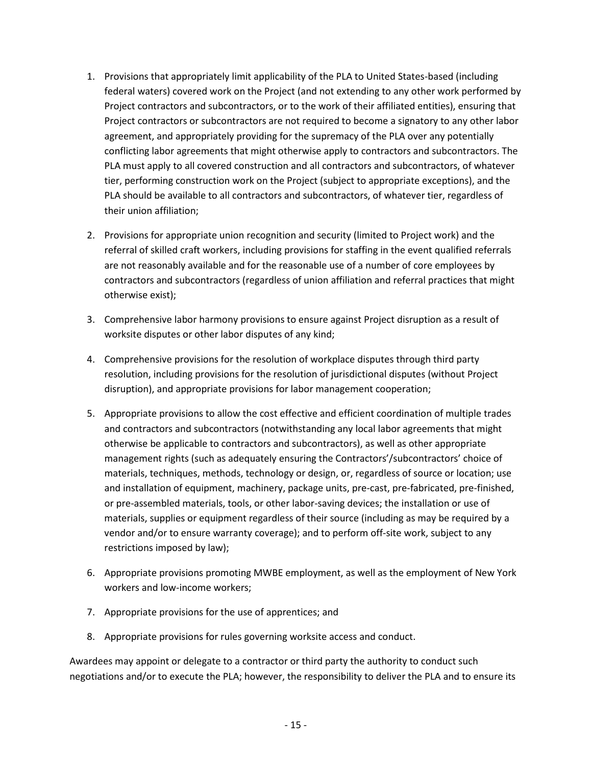- 1. Provisions that appropriately limit applicability of the PLA to United States-based (including federal waters) covered work on the Project (and not extending to any other work performed by Project contractors and subcontractors, or to the work of their affiliated entities), ensuring that Project contractors or subcontractors are not required to become a signatory to any other labor agreement, and appropriately providing for the supremacy of the PLA over any potentially conflicting labor agreements that might otherwise apply to contractors and subcontractors. The PLA must apply to all covered construction and all contractors and subcontractors, of whatever tier, performing construction work on the Project (subject to appropriate exceptions), and the PLA should be available to all contractors and subcontractors, of whatever tier, regardless of their union affiliation;
- 2. Provisions for appropriate union recognition and security (limited to Project work) and the referral of skilled craft workers, including provisions for staffing in the event qualified referrals are not reasonably available and for the reasonable use of a number of core employees by contractors and subcontractors (regardless of union affiliation and referral practices that might otherwise exist);
- 3. Comprehensive labor harmony provisions to ensure against Project disruption as a result of worksite disputes or other labor disputes of any kind;
- 4. Comprehensive provisions for the resolution of workplace disputes through third party resolution, including provisions for the resolution of jurisdictional disputes (without Project disruption), and appropriate provisions for labor management cooperation;
- 5. Appropriate provisions to allow the cost effective and efficient coordination of multiple trades and contractors and subcontractors (notwithstanding any local labor agreements that might otherwise be applicable to contractors and subcontractors), as well as other appropriate management rights (such as adequately ensuring the Contractors'/subcontractors' choice of materials, techniques, methods, technology or design, or, regardless of source or location; use and installation of equipment, machinery, package units, pre-cast, pre-fabricated, pre-finished, or pre-assembled materials, tools, or other labor-saving devices; the installation or use of materials, supplies or equipment regardless of their source (including as may be required by a vendor and/or to ensure warranty coverage); and to perform off-site work, subject to any restrictions imposed by law);
- 6. Appropriate provisions promoting MWBE employment, as well as the employment of New York workers and low-income workers;
- 7. Appropriate provisions for the use of apprentices; and
- 8. Appropriate provisions for rules governing worksite access and conduct.

Awardees may appoint or delegate to a contractor or third party the authority to conduct such negotiations and/or to execute the PLA; however, the responsibility to deliver the PLA and to ensure its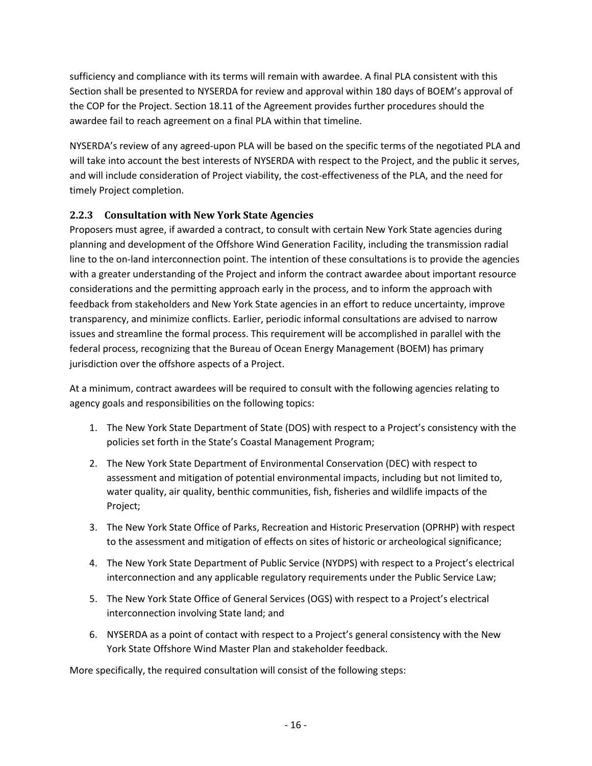sufficiency and compliance with its terms will remain with awardee. A final PLA consistent with this Section shall be presented to NYSERDA for review and approval within 180 days of BOEM's approval of the COP for the Project. Section 18.11 of the Agreement provides further procedures should the awardee fail to reach agreement on a final PLA within that timeline.

NYSERDA's review of any agreed-upon PLA will be based on the specific terms of the negotiated PLA and will take into account the best interests of NYSERDA with respect to the Project, and the public it serves, and will include consideration of Project viability, the cost-effectiveness of the PLA, and the need for timely Project completion.

## <span id="page-20-0"></span>**2.2.3 Consultation with New York State Agencies**

Proposers must agree, if awarded a contract, to consult with certain New York State agencies during planning and development of the Offshore Wind Generation Facility, including the transmission radial line to the on-land interconnection point. The intention of these consultations is to provide the agencies with a greater understanding of the Project and inform the contract awardee about important resource considerations and the permitting approach early in the process, and to inform the approach with feedback from stakeholders and New York State agencies in an effort to reduce uncertainty, improve transparency, and minimize conflicts. Earlier, periodic informal consultations are advised to narrow issues and streamline the formal process. This requirement will be accomplished in parallel with the federal process, recognizing that the Bureau of Ocean Energy Management (BOEM) has primary jurisdiction over the offshore aspects of a Project.

At a minimum, contract awardees will be required to consult with the following agencies relating to agency goals and responsibilities on the following topics:

- 1. The New York State Department of State (DOS) with respect to a Project's consistency with the policies set forth in the State's Coastal Management Program;
- 2. The New York State Department of Environmental Conservation (DEC) with respect to assessment and mitigation of potential environmental impacts, including but not limited to, water quality, air quality, benthic communities, fish, fisheries and wildlife impacts of the Project;
- 3. The New York State Office of Parks, Recreation and Historic Preservation (OPRHP) with respect to the assessment and mitigation of effects on sites of historic or archeological significance;
- 4. The New York State Department of Public Service (NYDPS) with respect to a Project's electrical interconnection and any applicable regulatory requirements under the Public Service Law;
- 5. The New York State Office of General Services (OGS) with respect to a Project's electrical interconnection involving State land; and
- 6. NYSERDA as a point of contact with respect to a Project's general consistency with the New York State Offshore Wind Master Plan and stakeholder feedback.

More specifically, the required consultation will consist of the following steps: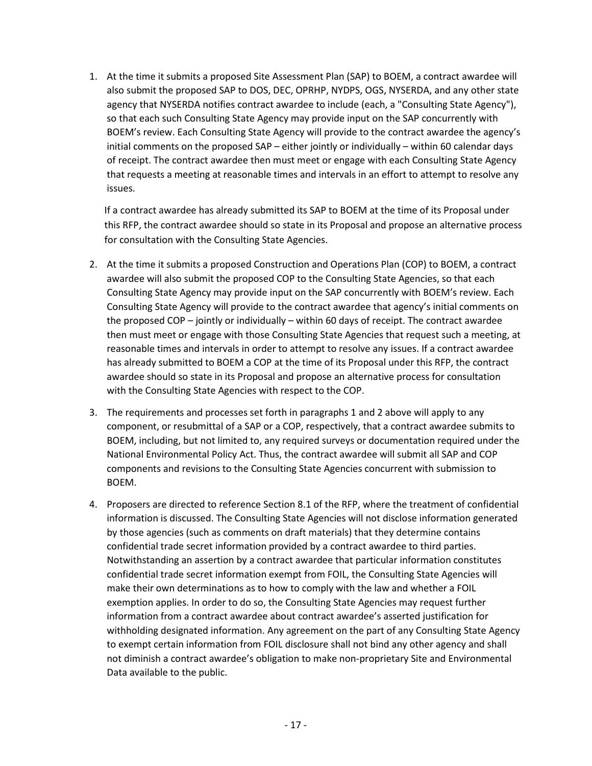1. At the time it submits a proposed Site Assessment Plan (SAP) to BOEM, a contract awardee will also submit the proposed SAP to DOS, DEC, OPRHP, NYDPS, OGS, NYSERDA, and any other state agency that NYSERDA notifies contract awardee to include (each, a "Consulting State Agency"), so that each such Consulting State Agency may provide input on the SAP concurrently with BOEM's review. Each Consulting State Agency will provide to the contract awardee the agency's initial comments on the proposed SAP – either jointly or individually – within 60 calendar days of receipt. The contract awardee then must meet or engage with each Consulting State Agency that requests a meeting at reasonable times and intervals in an effort to attempt to resolve any issues.

If a contract awardee has already submitted its SAP to BOEM at the time of its Proposal under this RFP, the contract awardee should so state in its Proposal and propose an alternative process for consultation with the Consulting State Agencies.

- 2. At the time it submits a proposed Construction and Operations Plan (COP) to BOEM, a contract awardee will also submit the proposed COP to the Consulting State Agencies, so that each Consulting State Agency may provide input on the SAP concurrently with BOEM's review. Each Consulting State Agency will provide to the contract awardee that agency's initial comments on the proposed COP – jointly or individually – within 60 days of receipt. The contract awardee then must meet or engage with those Consulting State Agencies that request such a meeting, at reasonable times and intervals in order to attempt to resolve any issues. If a contract awardee has already submitted to BOEM a COP at the time of its Proposal under this RFP, the contract awardee should so state in its Proposal and propose an alternative process for consultation with the Consulting State Agencies with respect to the COP.
- 3. The requirements and processes set forth in paragraphs 1 and 2 above will apply to any component, or resubmittal of a SAP or a COP, respectively, that a contract awardee submits to BOEM, including, but not limited to, any required surveys or documentation required under the National Environmental Policy Act. Thus, the contract awardee will submit all SAP and COP components and revisions to the Consulting State Agencies concurrent with submission to BOEM.
- 4. Proposers are directed to reference Section [8.1](#page-53-1) of the RFP, where the treatment of confidential information is discussed. The Consulting State Agencies will not disclose information generated by those agencies (such as comments on draft materials) that they determine contains confidential trade secret information provided by a contract awardee to third parties. Notwithstanding an assertion by a contract awardee that particular information constitutes confidential trade secret information exempt from FOIL, the Consulting State Agencies will make their own determinations as to how to comply with the law and whether a FOIL exemption applies. In order to do so, the Consulting State Agencies may request further information from a contract awardee about contract awardee's asserted justification for withholding designated information. Any agreement on the part of any Consulting State Agency to exempt certain information from FOIL disclosure shall not bind any other agency and shall not diminish a contract awardee's obligation to make non-proprietary Site and Environmental Data available to the public.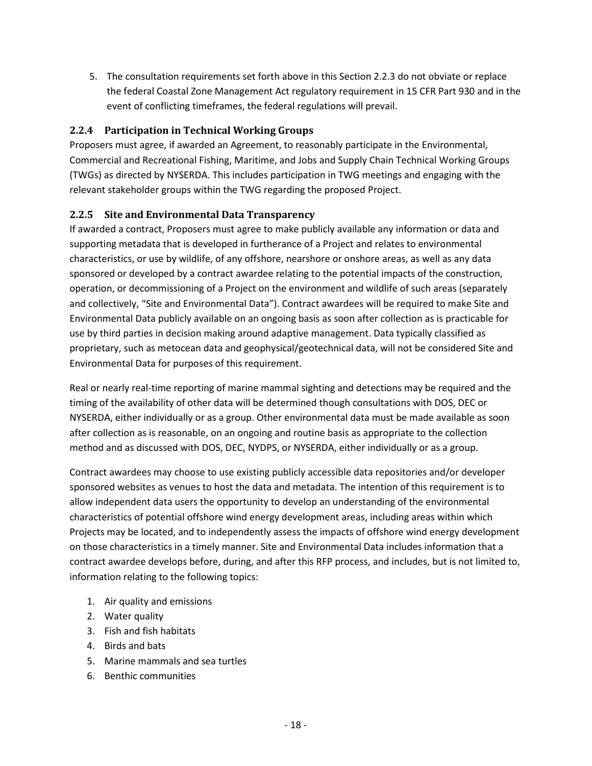5. The consultation requirements set forth above in this Section 2.2.3 do not obviate or replace the federal Coastal Zone Management Act regulatory requirement in 15 CFR Part 930 and in the event of conflicting timeframes, the federal regulations will prevail.

### <span id="page-22-0"></span>**2.2.4 Participation in Technical Working Groups**

Proposers must agree, if awarded an Agreement, to reasonably participate in the Environmental, Commercial and Recreational Fishing, Maritime, and Jobs and Supply Chain Technical Working Groups (TWGs) as directed by NYSERDA. This includes participation in TWG meetings and engaging with the relevant stakeholder groups within the TWG regarding the proposed Project.

### <span id="page-22-1"></span>**2.2.5 Site and Environmental Data Transparency**

If awarded a contract, Proposers must agree to make publicly available any information or data and supporting metadata that is developed in furtherance of a Project and relates to environmental characteristics, or use by wildlife, of any offshore, nearshore or onshore areas, as well as any data sponsored or developed by a contract awardee relating to the potential impacts of the construction, operation, or decommissioning of a Project on the environment and wildlife of such areas (separately and collectively, "Site and Environmental Data"). Contract awardees will be required to make Site and Environmental Data publicly available on an ongoing basis as soon after collection as is practicable for use by third parties in decision making around adaptive management. Data typically classified as proprietary, such as metocean data and geophysical/geotechnical data, will not be considered Site and Environmental Data for purposes of this requirement.

Real or nearly real-time reporting of marine mammal sighting and detections may be required and the timing of the availability of other data will be determined though consultations with DOS, DEC or NYSERDA, either individually or as a group. Other environmental data must be made available as soon after collection as is reasonable, on an ongoing and routine basis as appropriate to the collection method and as discussed with DOS, DEC, NYDPS, or NYSERDA, either individually or as a group.

Contract awardees may choose to use existing publicly accessible data repositories and/or developer sponsored websites as venues to host the data and metadata. The intention of this requirement is to allow independent data users the opportunity to develop an understanding of the environmental characteristics of potential offshore wind energy development areas, including areas within which Projects may be located, and to independently assess the impacts of offshore wind energy development on those characteristics in a timely manner. Site and Environmental Data includes information that a contract awardee develops before, during, and after this RFP process, and includes, but is not limited to, information relating to the following topics:

- 1. Air quality and emissions
- 2. Water quality
- 3. Fish and fish habitats
- 4. Birds and bats
- 5. Marine mammals and sea turtles
- 6. Benthic communities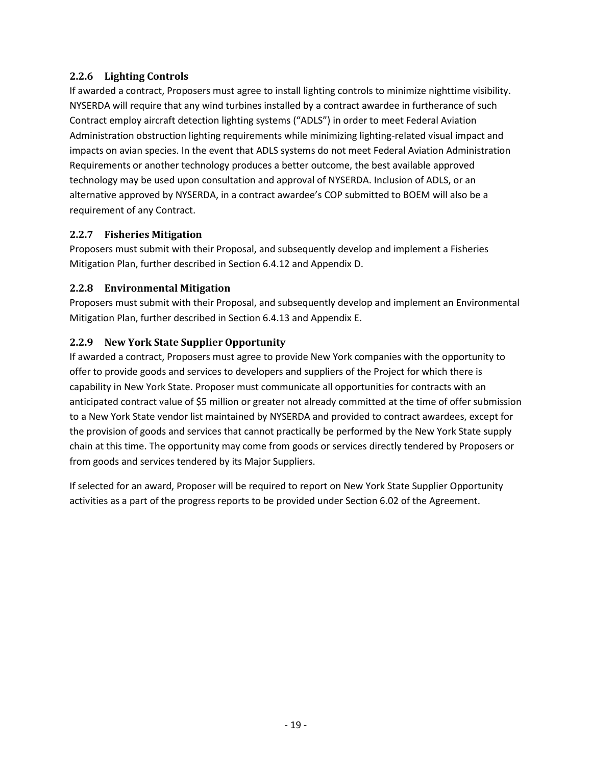### <span id="page-23-0"></span>**2.2.6 Lighting Controls**

If awarded a contract, Proposers must agree to install lighting controls to minimize nighttime visibility. NYSERDA will require that any wind turbines installed by a contract awardee in furtherance of such Contract employ aircraft detection lighting systems ("ADLS") in order to meet Federal Aviation Administration obstruction lighting requirements while minimizing lighting-related visual impact and impacts on avian species. In the event that ADLS systems do not meet Federal Aviation Administration Requirements or another technology produces a better outcome, the best available approved technology may be used upon consultation and approval of NYSERDA. Inclusion of ADLS, or an alternative approved by NYSERDA, in a contract awardee's COP submitted to BOEM will also be a requirement of any Contract.

### <span id="page-23-1"></span>**2.2.7 Fisheries Mitigation**

Proposers must submit with their Proposal, and subsequently develop and implement a Fisheries Mitigation Plan, further described in Section [6.4.12](#page-47-0) and Appendix D.

### <span id="page-23-2"></span>**2.2.8 Environmental Mitigation**

Proposers must submit with their Proposal, and subsequently develop and implement an Environmental Mitigation Plan, further described in Section [6.4.13](#page-47-1) and Appendix E.

### <span id="page-23-3"></span>**2.2.9 New York State Supplier Opportunity**

If awarded a contract, Proposers must agree to provide New York companies with the opportunity to offer to provide goods and services to developers and suppliers of the Project for which there is capability in New York State. Proposer must communicate all opportunities for contracts with an anticipated contract value of \$5 million or greater not already committed at the time of offer submission to a New York State vendor list maintained by NYSERDA and provided to contract awardees, except for the provision of goods and services that cannot practically be performed by the New York State supply chain at this time. The opportunity may come from goods or services directly tendered by Proposers or from goods and services tendered by its Major Suppliers.

If selected for an award, Proposer will be required to report on New York State Supplier Opportunity activities as a part of the progress reports to be provided under Section 6.02 of the Agreement.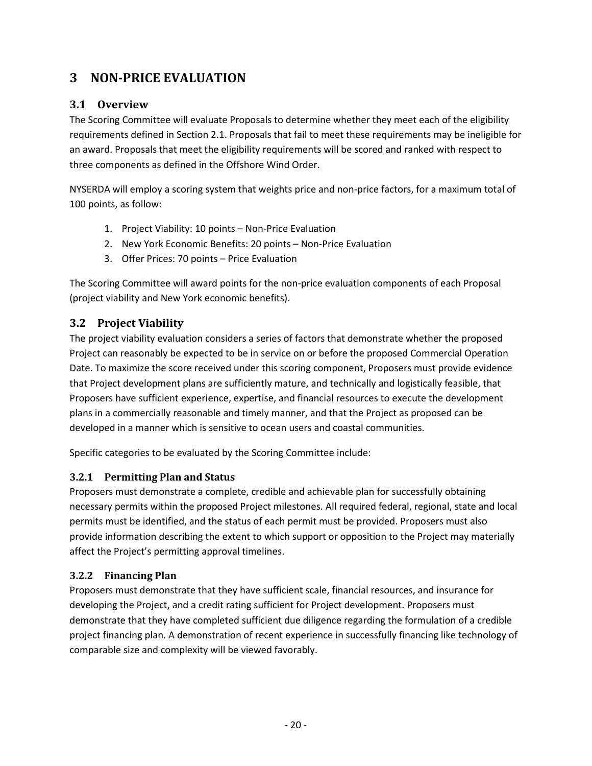# <span id="page-24-0"></span>**3 NON-PRICE EVALUATION**

# <span id="page-24-1"></span>**3.1 Overview**

The Scoring Committee will evaluate Proposals to determine whether they meet each of the eligibility requirements defined in Section [2.1.](#page-15-1) Proposals that fail to meet these requirements may be ineligible for an award. Proposals that meet the eligibility requirements will be scored and ranked with respect to three components as defined in the Offshore Wind Order.

NYSERDA will employ a scoring system that weights price and non-price factors, for a maximum total of 100 points, as follow:

- 1. Project Viability: 10 points Non-Price Evaluation
- 2. New York Economic Benefits: 20 points Non-Price Evaluation
- 3. Offer Prices: 70 points Price Evaluation

The Scoring Committee will award points for the non-price evaluation components of each Proposal (project viability and New York economic benefits).

# <span id="page-24-2"></span>**3.2 Project Viability**

The project viability evaluation considers a series of factors that demonstrate whether the proposed Project can reasonably be expected to be in service on or before the proposed Commercial Operation Date. To maximize the score received under this scoring component, Proposers must provide evidence that Project development plans are sufficiently mature, and technically and logistically feasible, that Proposers have sufficient experience, expertise, and financial resources to execute the development plans in a commercially reasonable and timely manner, and that the Project as proposed can be developed in a manner which is sensitive to ocean users and coastal communities.

Specific categories to be evaluated by the Scoring Committee include:

# <span id="page-24-3"></span>**3.2.1 Permitting Plan and Status**

Proposers must demonstrate a complete, credible and achievable plan for successfully obtaining necessary permits within the proposed Project milestones. All required federal, regional, state and local permits must be identified, and the status of each permit must be provided. Proposers must also provide information describing the extent to which support or opposition to the Project may materially affect the Project's permitting approval timelines.

### <span id="page-24-4"></span>**3.2.2 Financing Plan**

Proposers must demonstrate that they have sufficient scale, financial resources, and insurance for developing the Project, and a credit rating sufficient for Project development. Proposers must demonstrate that they have completed sufficient due diligence regarding the formulation of a credible project financing plan. A demonstration of recent experience in successfully financing like technology of comparable size and complexity will be viewed favorably.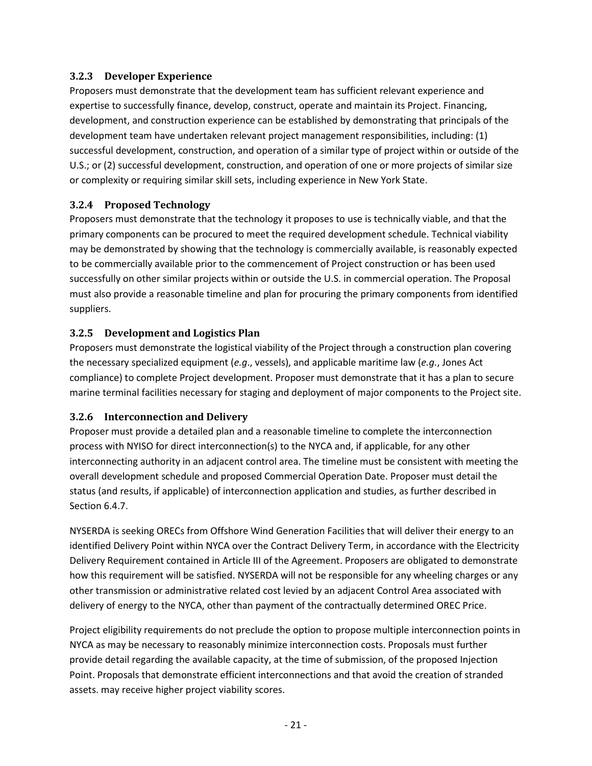### <span id="page-25-0"></span>**3.2.3 Developer Experience**

Proposers must demonstrate that the development team has sufficient relevant experience and expertise to successfully finance, develop, construct, operate and maintain its Project. Financing, development, and construction experience can be established by demonstrating that principals of the development team have undertaken relevant project management responsibilities, including: (1) successful development, construction, and operation of a similar type of project within or outside of the U.S.; or (2) successful development, construction, and operation of one or more projects of similar size or complexity or requiring similar skill sets, including experience in New York State.

### <span id="page-25-1"></span>**3.2.4 Proposed Technology**

Proposers must demonstrate that the technology it proposes to use is technically viable, and that the primary components can be procured to meet the required development schedule. Technical viability may be demonstrated by showing that the technology is commercially available, is reasonably expected to be commercially available prior to the commencement of Project construction or has been used successfully on other similar projects within or outside the U.S. in commercial operation. The Proposal must also provide a reasonable timeline and plan for procuring the primary components from identified suppliers.

### <span id="page-25-2"></span>**3.2.5 Development and Logistics Plan**

Proposers must demonstrate the logistical viability of the Project through a construction plan covering the necessary specialized equipment (*e.g*., vessels), and applicable maritime law (*e.g.*, Jones Act compliance) to complete Project development. Proposer must demonstrate that it has a plan to secure marine terminal facilities necessary for staging and deployment of major components to the Project site.

### <span id="page-25-3"></span>**3.2.6 Interconnection and Delivery**

Proposer must provide a detailed plan and a reasonable timeline to complete the interconnection process with NYISO for direct interconnection(s) to the NYCA and, if applicable, for any other interconnecting authority in an adjacent control area. The timeline must be consistent with meeting the overall development schedule and proposed Commercial Operation Date. Proposer must detail the status (and results, if applicable) of interconnection application and studies, as further described in Section [6.4.7.](#page-43-0)

NYSERDA is seeking ORECs from Offshore Wind Generation Facilities that will deliver their energy to an identified Delivery Point within NYCA over the Contract Delivery Term, in accordance with the Electricity Delivery Requirement contained in Article III of the Agreement. Proposers are obligated to demonstrate how this requirement will be satisfied. NYSERDA will not be responsible for any wheeling charges or any other transmission or administrative related cost levied by an adjacent Control Area associated with delivery of energy to the NYCA, other than payment of the contractually determined OREC Price.

Project eligibility requirements do not preclude the option to propose multiple interconnection points in NYCA as may be necessary to reasonably minimize interconnection costs. Proposals must further provide detail regarding the available capacity, at the time of submission, of the proposed Injection Point. Proposals that demonstrate efficient interconnections and that avoid the creation of stranded assets. may receive higher project viability scores.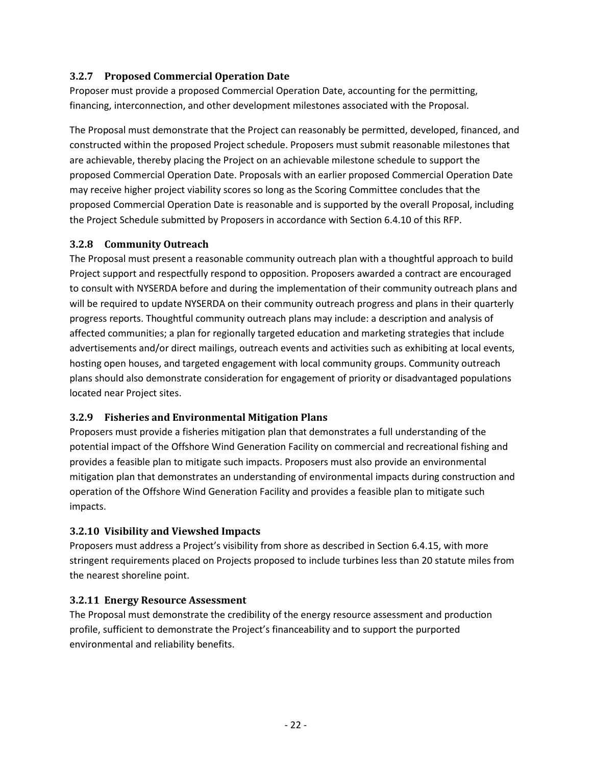### <span id="page-26-0"></span>**3.2.7 Proposed Commercial Operation Date**

Proposer must provide a proposed Commercial Operation Date, accounting for the permitting, financing, interconnection, and other development milestones associated with the Proposal.

The Proposal must demonstrate that the Project can reasonably be permitted, developed, financed, and constructed within the proposed Project schedule. Proposers must submit reasonable milestones that are achievable, thereby placing the Project on an achievable milestone schedule to support the proposed Commercial Operation Date. Proposals with an earlier proposed Commercial Operation Date may receive higher project viability scores so long as the Scoring Committee concludes that the proposed Commercial Operation Date is reasonable and is supported by the overall Proposal, including the Project Schedule submitted by Proposers in accordance with Sectio[n 6.4.10](#page-45-1) of this RFP.

### <span id="page-26-1"></span>**3.2.8 Community Outreach**

The Proposal must present a reasonable community outreach plan with a thoughtful approach to build Project support and respectfully respond to opposition. Proposers awarded a contract are encouraged to consult with NYSERDA before and during the implementation of their community outreach plans and will be required to update NYSERDA on their community outreach progress and plans in their quarterly progress reports. Thoughtful community outreach plans may include: a description and analysis of affected communities; a plan for regionally targeted education and marketing strategies that include advertisements and/or direct mailings, outreach events and activities such as exhibiting at local events, hosting open houses, and targeted engagement with local community groups. Community outreach plans should also demonstrate consideration for engagement of priority or disadvantaged populations located near Project sites.

### <span id="page-26-2"></span>**3.2.9 Fisheries and Environmental Mitigation Plans**

Proposers must provide a fisheries mitigation plan that demonstrates a full understanding of the potential impact of the Offshore Wind Generation Facility on commercial and recreational fishing and provides a feasible plan to mitigate such impacts. Proposers must also provide an environmental mitigation plan that demonstrates an understanding of environmental impacts during construction and operation of the Offshore Wind Generation Facility and provides a feasible plan to mitigate such impacts.

### <span id="page-26-3"></span>**3.2.10 Visibility and Viewshed Impacts**

Proposers must address a Project's visibility from shore as described in Section [6.4.15,](#page-47-3) with more stringent requirements placed on Projects proposed to include turbines less than 20 statute miles from the nearest shoreline point.

### <span id="page-26-4"></span>**3.2.11 Energy Resource Assessment**

The Proposal must demonstrate the credibility of the energy resource assessment and production profile, sufficient to demonstrate the Project's financeability and to support the purported environmental and reliability benefits.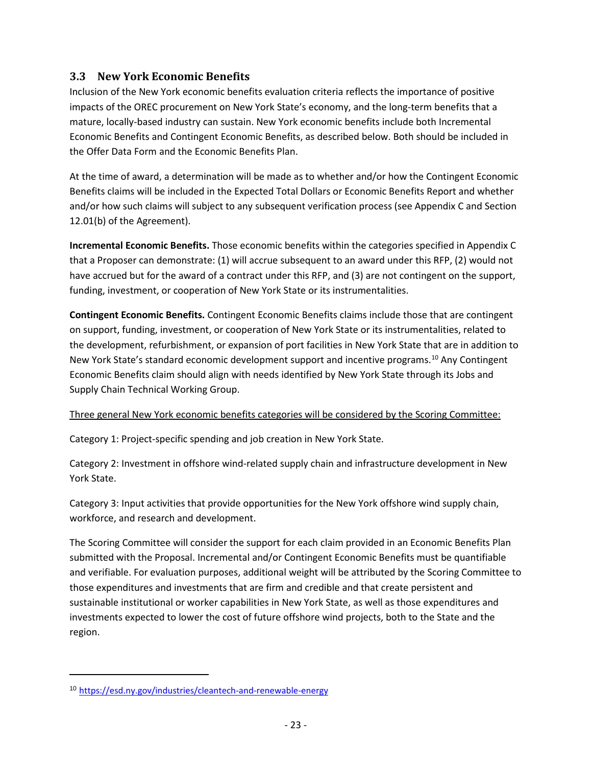## <span id="page-27-0"></span>**3.3 New York Economic Benefits**

Inclusion of the New York economic benefits evaluation criteria reflects the importance of positive impacts of the OREC procurement on New York State's economy, and the long-term benefits that a mature, locally-based industry can sustain. New York economic benefits include both Incremental Economic Benefits and Contingent Economic Benefits, as described below. Both should be included in the Offer Data Form and the Economic Benefits Plan.

At the time of award, a determination will be made as to whether and/or how the Contingent Economic Benefits claims will be included in the Expected Total Dollars or Economic Benefits Report and whether and/or how such claims will subject to any subsequent verification process (see Appendix C and Section 12.01(b) of the Agreement).

**Incremental Economic Benefits.** Those economic benefits within the categories specified in Appendix C that a Proposer can demonstrate: (1) will accrue subsequent to an award under this RFP, (2) would not have accrued but for the award of a contract under this RFP, and (3) are not contingent on the support, funding, investment, or cooperation of New York State or its instrumentalities.

**Contingent Economic Benefits.** Contingent Economic Benefits claims include those that are contingent on support, funding, investment, or cooperation of New York State or its instrumentalities, related to the development, refurbishment, or expansion of port facilities in New York State that are in addition to New York State's standard economic development support and incentive programs.<sup>[10](#page-27-1)</sup> Any Contingent Economic Benefits claim should align with needs identified by New York State through its Jobs and Supply Chain Technical Working Group.

### Three general New York economic benefits categories will be considered by the Scoring Committee:

Category 1: Project-specific spending and job creation in New York State.

Category 2: Investment in offshore wind-related supply chain and infrastructure development in New York State.

Category 3: Input activities that provide opportunities for the New York offshore wind supply chain, workforce, and research and development.

The Scoring Committee will consider the support for each claim provided in an Economic Benefits Plan submitted with the Proposal. Incremental and/or Contingent Economic Benefits must be quantifiable and verifiable. For evaluation purposes, additional weight will be attributed by the Scoring Committee to those expenditures and investments that are firm and credible and that create persistent and sustainable institutional or worker capabilities in New York State, as well as those expenditures and investments expected to lower the cost of future offshore wind projects, both to the State and the region.

l

<span id="page-27-1"></span><sup>10</sup> <https://esd.ny.gov/industries/cleantech-and-renewable-energy>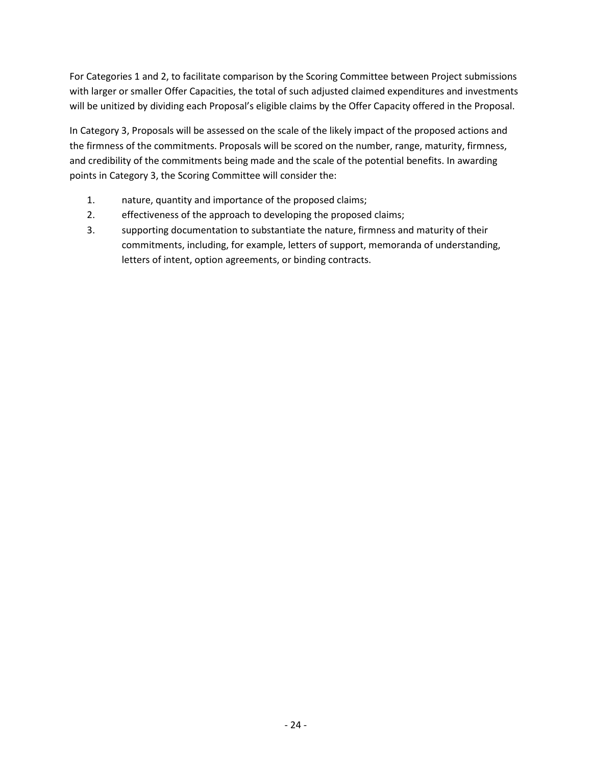For Categories 1 and 2, to facilitate comparison by the Scoring Committee between Project submissions with larger or smaller Offer Capacities, the total of such adjusted claimed expenditures and investments will be unitized by dividing each Proposal's eligible claims by the Offer Capacity offered in the Proposal.

In Category 3, Proposals will be assessed on the scale of the likely impact of the proposed actions and the firmness of the commitments. Proposals will be scored on the number, range, maturity, firmness, and credibility of the commitments being made and the scale of the potential benefits. In awarding points in Category 3, the Scoring Committee will consider the:

- 1. nature, quantity and importance of the proposed claims;
- 2. effectiveness of the approach to developing the proposed claims;
- 3. supporting documentation to substantiate the nature, firmness and maturity of their commitments, including, for example, letters of support, memoranda of understanding, letters of intent, option agreements, or binding contracts.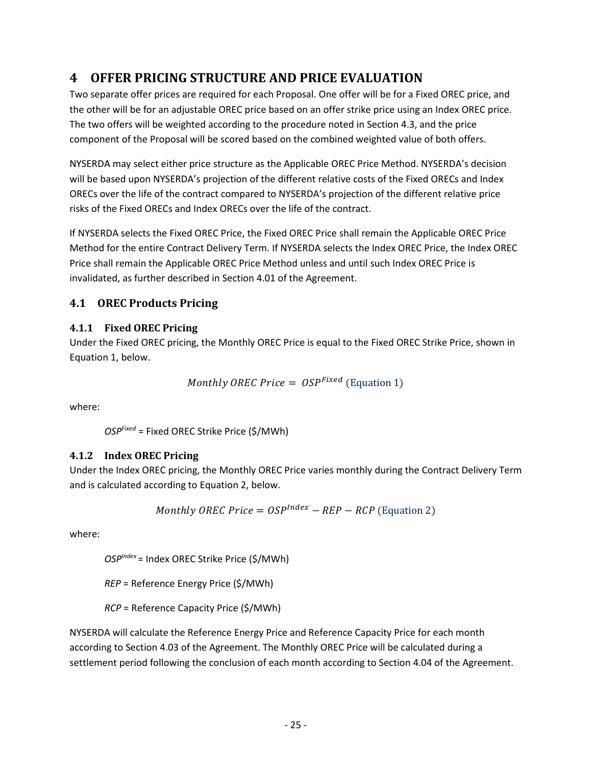# <span id="page-29-0"></span>**4 OFFER PRICING STRUCTURE AND PRICE EVALUATION**

Two separate offer prices are required for each Proposal. One offer will be for a Fixed OREC price, and the other will be for an adjustable OREC price based on an offer strike price using an Index OREC price. The two offers will be weighted according to the procedure noted in Section [4.3,](#page-31-0) and the price component of the Proposal will be scored based on the combined weighted value of both offers.

NYSERDA may select either price structure as the Applicable OREC Price Method. NYSERDA's decision will be based upon NYSERDA's projection of the different relative costs of the Fixed ORECs and Index ORECs over the life of the contract compared to NYSERDA's projection of the different relative price risks of the Fixed ORECs and Index ORECs over the life of the contract.

If NYSERDA selects the Fixed OREC Price, the Fixed OREC Price shall remain the Applicable OREC Price Method for the entire Contract Delivery Term. If NYSERDA selects the Index OREC Price, the Index OREC Price shall remain the Applicable OREC Price Method unless and until such Index OREC Price is invalidated, as further described in Section 4.01 of the Agreement.

# <span id="page-29-1"></span>**4.1 OREC Products Pricing**

# <span id="page-29-2"></span>**4.1.1 Fixed OREC Pricing**

Under the Fixed OREC pricing, the Monthly OREC Price is equal to the Fixed OREC Strike Price, shown in Equation 1, below.

Monthly OREC Price =  $OSP<sup>Fixed</sup>$  (Equation 1)

where:

*OSPFixed* = Fixed OREC Strike Price (\$/MWh)

# <span id="page-29-3"></span>**4.1.2 Index OREC Pricing**

Under the Index OREC pricing, the Monthly OREC Price varies monthly during the Contract Delivery Term and is calculated according to Equation 2, below.

$$
Monthly \,OREC \, Price = OSP^{Index} - REP - RCP \, (Equation \, 2)
$$

where:

*OSPIndex* = Index OREC Strike Price (\$/MWh)

*REP* = Reference Energy Price (\$/MWh)

*RCP* = Reference Capacity Price (\$/MWh)

NYSERDA will calculate the Reference Energy Price and Reference Capacity Price for each month according to Section 4.03 of the Agreement. The Monthly OREC Price will be calculated during a settlement period following the conclusion of each month according to Section 4.04 of the Agreement.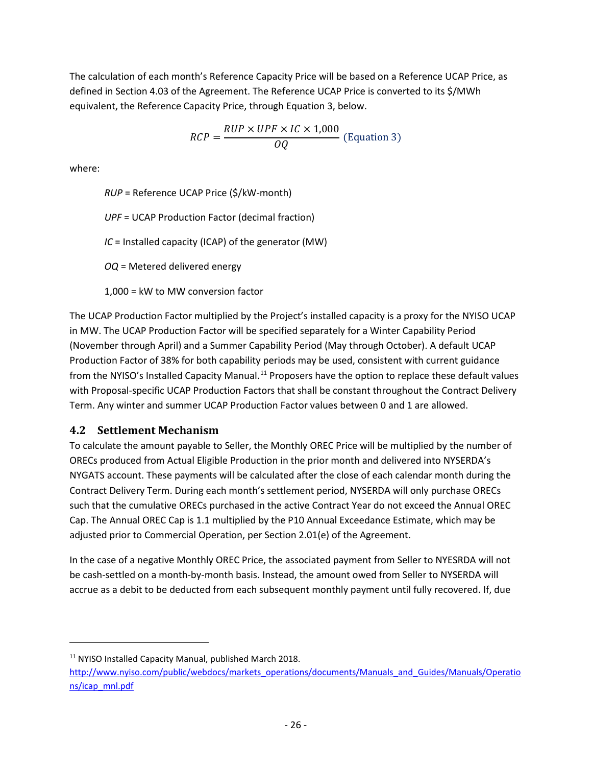The calculation of each month's Reference Capacity Price will be based on a Reference UCAP Price, as defined in Section 4.03 of the Agreement. The Reference UCAP Price is converted to its \$/MWh equivalent, the Reference Capacity Price, through Equation 3, below.

$$
RCP = \frac{RUP \times UPF \times IC \times 1,000}{OQ}
$$
 (Equation 3)

where:

l

*RUP* = Reference UCAP Price (\$/kW-month) *UPF* = UCAP Production Factor (decimal fraction) *IC* = Installed capacity (ICAP) of the generator (MW) *OQ* = Metered delivered energy 1,000 = kW to MW conversion factor

The UCAP Production Factor multiplied by the Project's installed capacity is a proxy for the NYISO UCAP in MW. The UCAP Production Factor will be specified separately for a Winter Capability Period (November through April) and a Summer Capability Period (May through October). A default UCAP Production Factor of 38% for both capability periods may be used, consistent with current guidance from the NYISO's Installed Capacity Manual.<sup>[11](#page-30-1)</sup> Proposers have the option to replace these default values with Proposal-specific UCAP Production Factors that shall be constant throughout the Contract Delivery Term. Any winter and summer UCAP Production Factor values between 0 and 1 are allowed.

### <span id="page-30-0"></span>**4.2 Settlement Mechanism**

To calculate the amount payable to Seller, the Monthly OREC Price will be multiplied by the number of ORECs produced from Actual Eligible Production in the prior month and delivered into NYSERDA's NYGATS account. These payments will be calculated after the close of each calendar month during the Contract Delivery Term. During each month's settlement period, NYSERDA will only purchase ORECs such that the cumulative ORECs purchased in the active Contract Year do not exceed the Annual OREC Cap. The Annual OREC Cap is 1.1 multiplied by the P10 Annual Exceedance Estimate, which may be adjusted prior to Commercial Operation, per Section 2.01(e) of the Agreement.

In the case of a negative Monthly OREC Price, the associated payment from Seller to NYESRDA will not be cash-settled on a month-by-month basis. Instead, the amount owed from Seller to NYSERDA will accrue as a debit to be deducted from each subsequent monthly payment until fully recovered. If, due

<span id="page-30-1"></span><sup>11</sup> NYISO Installed Capacity Manual, published March 2018.

[http://www.nyiso.com/public/webdocs/markets\\_operations/documents/Manuals\\_and\\_Guides/Manuals/Operatio](http://www.nyiso.com/public/webdocs/markets_operations/documents/Manuals_and_Guides/Manuals/Operations/icap_mnl.pdf) [ns/icap\\_mnl.pdf](http://www.nyiso.com/public/webdocs/markets_operations/documents/Manuals_and_Guides/Manuals/Operations/icap_mnl.pdf)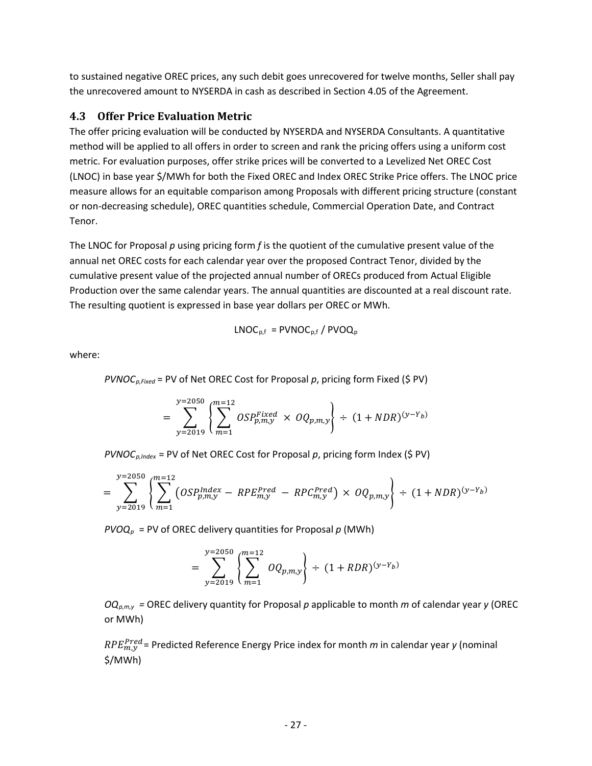to sustained negative OREC prices, any such debit goes unrecovered for twelve months, Seller shall pay the unrecovered amount to NYSERDA in cash as described in Section 4.05 of the Agreement.

### <span id="page-31-0"></span>**4.3 Offer Price Evaluation Metric**

The offer pricing evaluation will be conducted by NYSERDA and NYSERDA Consultants. A quantitative method will be applied to all offers in order to screen and rank the pricing offers using a uniform cost metric. For evaluation purposes, offer strike prices will be converted to a Levelized Net OREC Cost (LNOC) in base year \$/MWh for both the Fixed OREC and Index OREC Strike Price offers. The LNOC price measure allows for an equitable comparison among Proposals with different pricing structure (constant or non-decreasing schedule), OREC quantities schedule, Commercial Operation Date, and Contract Tenor.

The LNOC for Proposal *p* using pricing form *f* is the quotient of the cumulative present value of the annual net OREC costs for each calendar year over the proposed Contract Tenor, divided by the cumulative present value of the projected annual number of ORECs produced from Actual Eligible Production over the same calendar years. The annual quantities are discounted at a real discount rate. The resulting quotient is expressed in base year dollars per OREC or MWh.

$$
LNOC_{p,f} = PVNOC_{p,f} / PVOQ_p
$$

where:

$$
PVNOC_{p,Fixed} = PV of Net OREC Cost for Proposal p, pricing form Fixed (\$ PV)
$$

$$
= \sum_{y=2019}^{y=2050} \left\{ \sum_{m=1}^{m=12} OSP_{p,m,y}^{Fixed} \times OQ_{p,m,y} \right\} \div (1 + NDR)^{(y-Y_b)}
$$

*PVNOCp,Index* = PV of Net OREC Cost for Proposal *p*, pricing form Index (\$ PV)

$$
= \sum_{y=2019}^{y=2050} \left\{ \sum_{m=1}^{m=12} (OSP_{p,m,y}^{Index} - RPE_{m,y}^{Pred} - RPC_{m,y}^{Pred}) \times OQ_{p,m,y} \right\} \div (1 + NDR)^{(y - Y_b)}
$$

 $PVOQ<sub>p</sub>$  = PV of OREC delivery quantities for Proposal  $p$  (MWh)

$$
= \sum_{y=2019}^{y=2050} \left\{ \sum_{m=1}^{m=12} OQ_{p,m,y} \right\} \div (1 + RDR)^{(y-Y_b)}
$$

*OQp,m,y =* OREC delivery quantity for Proposal *p* applicable to month *m* of calendar year *y* (OREC or MWh)

<sup>Pred</sup> = Predicted Reference Energy Price index for month *m* in calendar year *y* (nominal \$/MWh)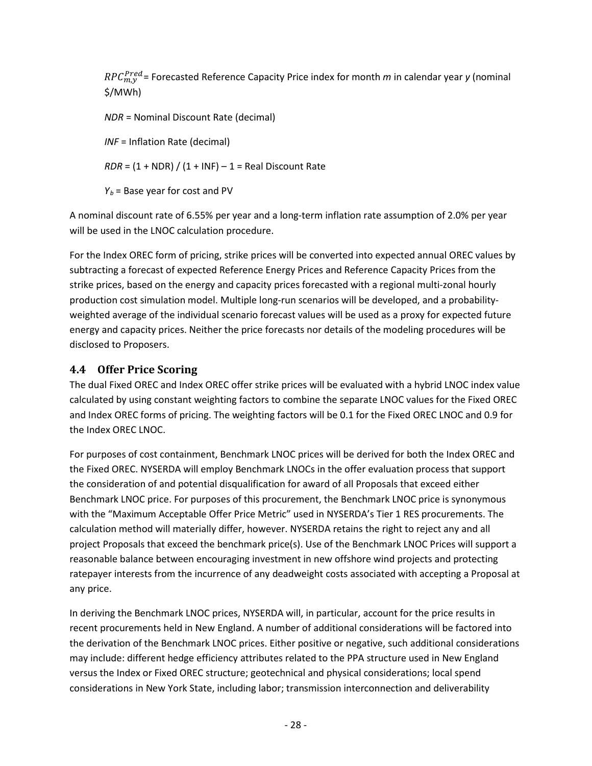<sup>Pred</sup> = Forecasted Reference Capacity Price index for month *m* in calendar year *y* (nominal \$/MWh)

*NDR* = Nominal Discount Rate (decimal)

*INF* = Inflation Rate (decimal)

 $RDR = (1 + NDR) / (1 + INF) - 1 = Real Discount Rate$ 

 $Y_b$  = Base year for cost and PV

A nominal discount rate of 6.55% per year and a long-term inflation rate assumption of 2.0% per year will be used in the LNOC calculation procedure.

For the Index OREC form of pricing, strike prices will be converted into expected annual OREC values by subtracting a forecast of expected Reference Energy Prices and Reference Capacity Prices from the strike prices, based on the energy and capacity prices forecasted with a regional multi-zonal hourly production cost simulation model. Multiple long-run scenarios will be developed, and a probabilityweighted average of the individual scenario forecast values will be used as a proxy for expected future energy and capacity prices. Neither the price forecasts nor details of the modeling procedures will be disclosed to Proposers.

## <span id="page-32-0"></span>**4.4 Offer Price Scoring**

The dual Fixed OREC and Index OREC offer strike prices will be evaluated with a hybrid LNOC index value calculated by using constant weighting factors to combine the separate LNOC values for the Fixed OREC and Index OREC forms of pricing. The weighting factors will be 0.1 for the Fixed OREC LNOC and 0.9 for the Index OREC LNOC.

For purposes of cost containment, Benchmark LNOC prices will be derived for both the Index OREC and the Fixed OREC. NYSERDA will employ Benchmark LNOCs in the offer evaluation process that support the consideration of and potential disqualification for award of all Proposals that exceed either Benchmark LNOC price. For purposes of this procurement, the Benchmark LNOC price is synonymous with the "Maximum Acceptable Offer Price Metric" used in NYSERDA's Tier 1 RES procurements. The calculation method will materially differ, however. NYSERDA retains the right to reject any and all project Proposals that exceed the benchmark price(s). Use of the Benchmark LNOC Prices will support a reasonable balance between encouraging investment in new offshore wind projects and protecting ratepayer interests from the incurrence of any deadweight costs associated with accepting a Proposal at any price.

In deriving the Benchmark LNOC prices, NYSERDA will, in particular, account for the price results in recent procurements held in New England. A number of additional considerations will be factored into the derivation of the Benchmark LNOC prices. Either positive or negative, such additional considerations may include: different hedge efficiency attributes related to the PPA structure used in New England versus the Index or Fixed OREC structure; geotechnical and physical considerations; local spend considerations in New York State, including labor; transmission interconnection and deliverability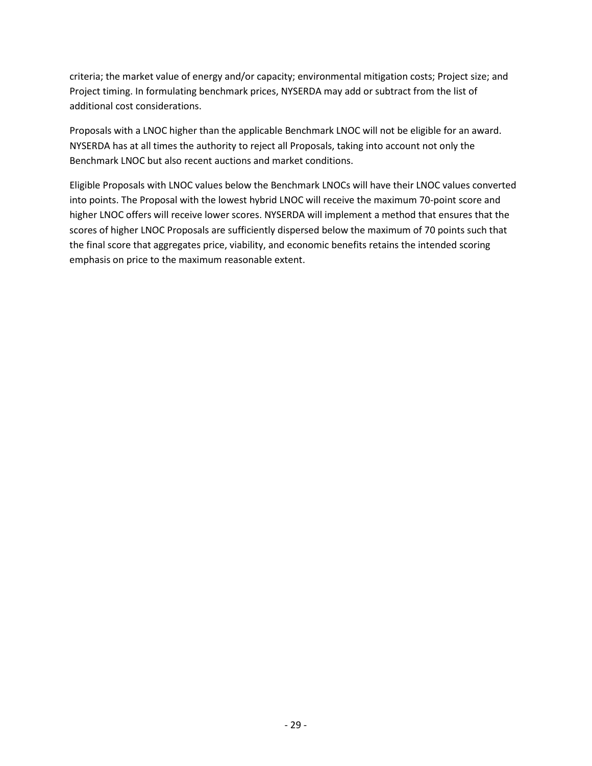criteria; the market value of energy and/or capacity; environmental mitigation costs; Project size; and Project timing. In formulating benchmark prices, NYSERDA may add or subtract from the list of additional cost considerations.

Proposals with a LNOC higher than the applicable Benchmark LNOC will not be eligible for an award. NYSERDA has at all times the authority to reject all Proposals, taking into account not only the Benchmark LNOC but also recent auctions and market conditions.

Eligible Proposals with LNOC values below the Benchmark LNOCs will have their LNOC values converted into points. The Proposal with the lowest hybrid LNOC will receive the maximum 70-point score and higher LNOC offers will receive lower scores. NYSERDA will implement a method that ensures that the scores of higher LNOC Proposals are sufficiently dispersed below the maximum of 70 points such that the final score that aggregates price, viability, and economic benefits retains the intended scoring emphasis on price to the maximum reasonable extent.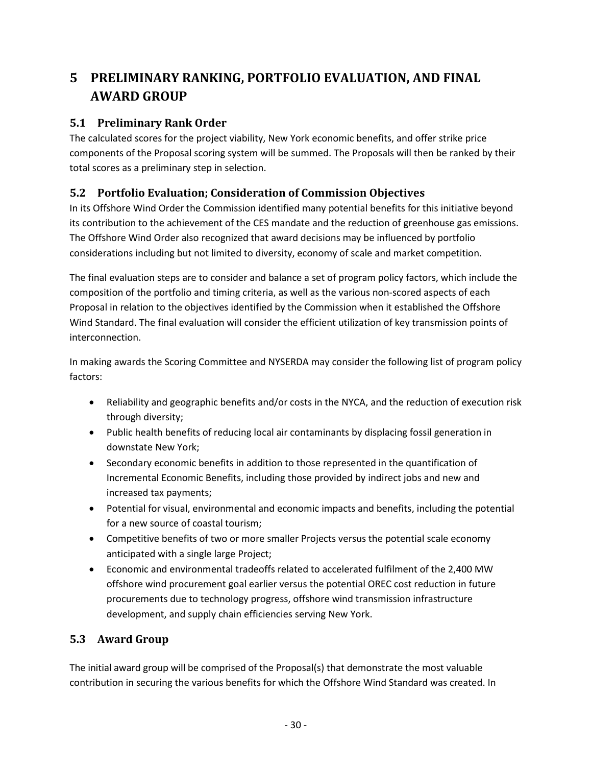# <span id="page-34-0"></span>**5 PRELIMINARY RANKING, PORTFOLIO EVALUATION, AND FINAL AWARD GROUP**

# <span id="page-34-1"></span>**5.1 Preliminary Rank Order**

The calculated scores for the project viability, New York economic benefits, and offer strike price components of the Proposal scoring system will be summed. The Proposals will then be ranked by their total scores as a preliminary step in selection.

# <span id="page-34-2"></span>**5.2 Portfolio Evaluation; Consideration of Commission Objectives**

In its Offshore Wind Order the Commission identified many potential benefits for this initiative beyond its contribution to the achievement of the CES mandate and the reduction of greenhouse gas emissions. The Offshore Wind Order also recognized that award decisions may be influenced by portfolio considerations including but not limited to diversity, economy of scale and market competition.

The final evaluation steps are to consider and balance a set of program policy factors, which include the composition of the portfolio and timing criteria, as well as the various non-scored aspects of each Proposal in relation to the objectives identified by the Commission when it established the Offshore Wind Standard. The final evaluation will consider the efficient utilization of key transmission points of interconnection.

In making awards the Scoring Committee and NYSERDA may consider the following list of program policy factors:

- Reliability and geographic benefits and/or costs in the NYCA, and the reduction of execution risk through diversity;
- Public health benefits of reducing local air contaminants by displacing fossil generation in downstate New York;
- Secondary economic benefits in addition to those represented in the quantification of Incremental Economic Benefits, including those provided by indirect jobs and new and increased tax payments;
- Potential for visual, environmental and economic impacts and benefits, including the potential for a new source of coastal tourism;
- Competitive benefits of two or more smaller Projects versus the potential scale economy anticipated with a single large Project;
- Economic and environmental tradeoffs related to accelerated fulfilment of the 2,400 MW offshore wind procurement goal earlier versus the potential OREC cost reduction in future procurements due to technology progress, offshore wind transmission infrastructure development, and supply chain efficiencies serving New York.

# <span id="page-34-3"></span>**5.3 Award Group**

The initial award group will be comprised of the Proposal(s) that demonstrate the most valuable contribution in securing the various benefits for which the Offshore Wind Standard was created. In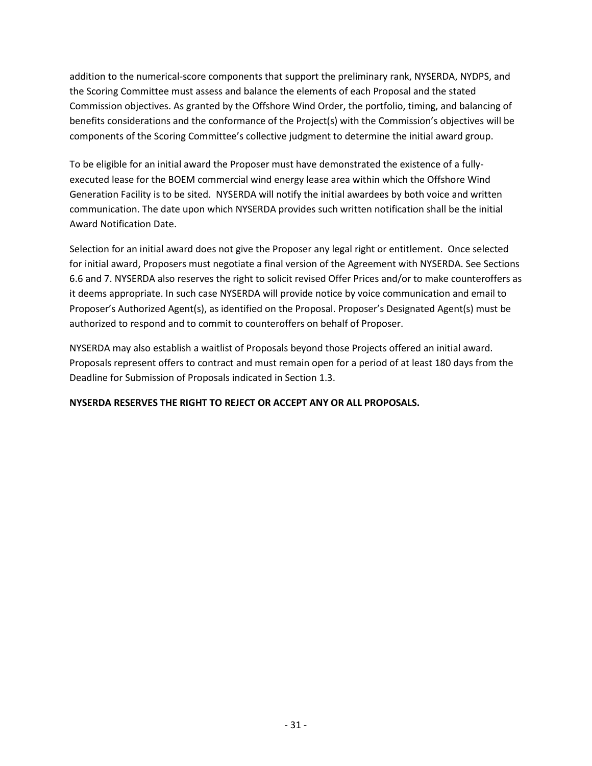addition to the numerical-score components that support the preliminary rank, NYSERDA, NYDPS, and the Scoring Committee must assess and balance the elements of each Proposal and the stated Commission objectives. As granted by the Offshore Wind Order, the portfolio, timing, and balancing of benefits considerations and the conformance of the Project(s) with the Commission's objectives will be components of the Scoring Committee's collective judgment to determine the initial award group.

To be eligible for an initial award the Proposer must have demonstrated the existence of a fullyexecuted lease for the BOEM commercial wind energy lease area within which the Offshore Wind Generation Facility is to be sited. NYSERDA will notify the initial awardees by both voice and written communication. The date upon which NYSERDA provides such written notification shall be the initial Award Notification Date.

Selection for an initial award does not give the Proposer any legal right or entitlement. Once selected for initial award, Proposers must negotiate a final version of the Agreement with NYSERDA. See Sections 6.6 and 7. NYSERDA also reserves the right to solicit revised Offer Prices and/or to make counteroffers as it deems appropriate. In such case NYSERDA will provide notice by voice communication and email to Proposer's Authorized Agent(s), as identified on the Proposal. Proposer's Designated Agent(s) must be authorized to respond and to commit to counteroffers on behalf of Proposer.

NYSERDA may also establish a waitlist of Proposals beyond those Projects offered an initial award. Proposals represent offers to contract and must remain open for a period of at least 180 days from the Deadline for Submission of Proposals indicated in Section [1.3.](#page-11-1)

**NYSERDA RESERVES THE RIGHT TO REJECT OR ACCEPT ANY OR ALL PROPOSALS.**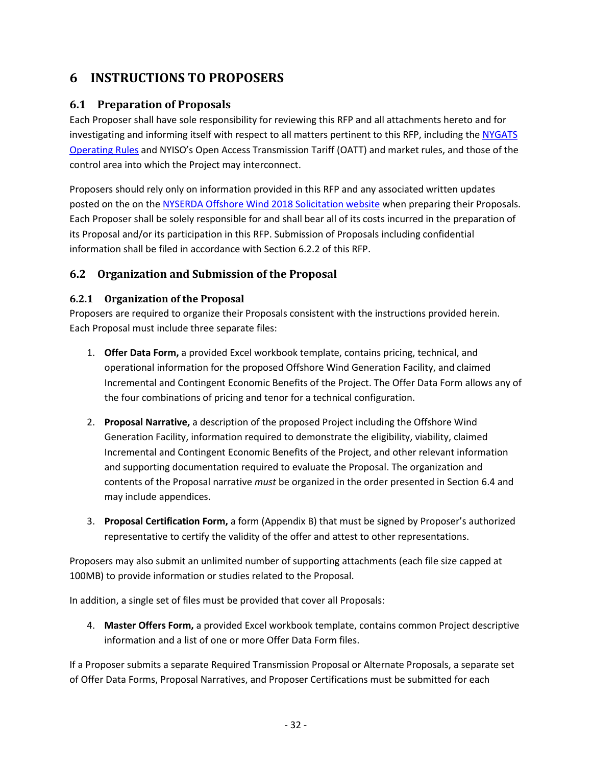# <span id="page-36-0"></span>**6 INSTRUCTIONS TO PROPOSERS**

# <span id="page-36-1"></span>**6.1 Preparation of Proposals**

Each Proposer shall have sole responsibility for reviewing this RFP and all attachments hereto and for investigating and informing itself with respect to all matters pertinent to this RFP, including the [NYGATS](https://www.nyserda.ny.gov/All-Programs/Programs/NYGATS/Registration-Documents)  [Operating Rules](https://www.nyserda.ny.gov/All-Programs/Programs/NYGATS/Registration-Documents) and NYISO's Open Access Transmission Tariff (OATT) and market rules, and those of the control area into which the Project may interconnect.

Proposers should rely only on information provided in this RFP and any associated written updates posted on the on the [NYSERDA Offshore Wind](https://www.nyserda.ny.gov/offshore-wind-2018-solicitation) 2018 Solicitation website when preparing their Proposals. Each Proposer shall be solely responsible for and shall bear all of its costs incurred in the preparation of its Proposal and/or its participation in this RFP. Submission of Proposals including confidential information shall be filed in accordance with Sectio[n 6.2.2](#page-37-0) of this RFP.

# <span id="page-36-2"></span>**6.2 Organization and Submission of the Proposal**

## <span id="page-36-3"></span>**6.2.1 Organization of the Proposal**

Proposers are required to organize their Proposals consistent with the instructions provided herein. Each Proposal must include three separate files:

- 1. **Offer Data Form,** a provided Excel workbook template, contains pricing, technical, and operational information for the proposed Offshore Wind Generation Facility, and claimed Incremental and Contingent Economic Benefits of the Project. The Offer Data Form allows any of the four combinations of pricing and tenor for a technical configuration.
- 2. **Proposal Narrative,** a description of the proposed Project including the Offshore Wind Generation Facility, information required to demonstrate the eligibility, viability, claimed Incremental and Contingent Economic Benefits of the Project, and other relevant information and supporting documentation required to evaluate the Proposal. The organization and contents of the Proposal narrative *must* be organized in the order presented in Section [6.4](#page-39-0) and may include appendices.
- 3. **Proposal Certification Form,** a form (Appendix B) that must be signed by Proposer's authorized representative to certify the validity of the offer and attest to other representations.

Proposers may also submit an unlimited number of supporting attachments (each file size capped at 100MB) to provide information or studies related to the Proposal.

In addition, a single set of files must be provided that cover all Proposals:

4. **Master Offers Form,** a provided Excel workbook template, contains common Project descriptive information and a list of one or more Offer Data Form files.

If a Proposer submits a separate Required Transmission Proposal or Alternate Proposals, a separate set of Offer Data Forms, Proposal Narratives, and Proposer Certifications must be submitted for each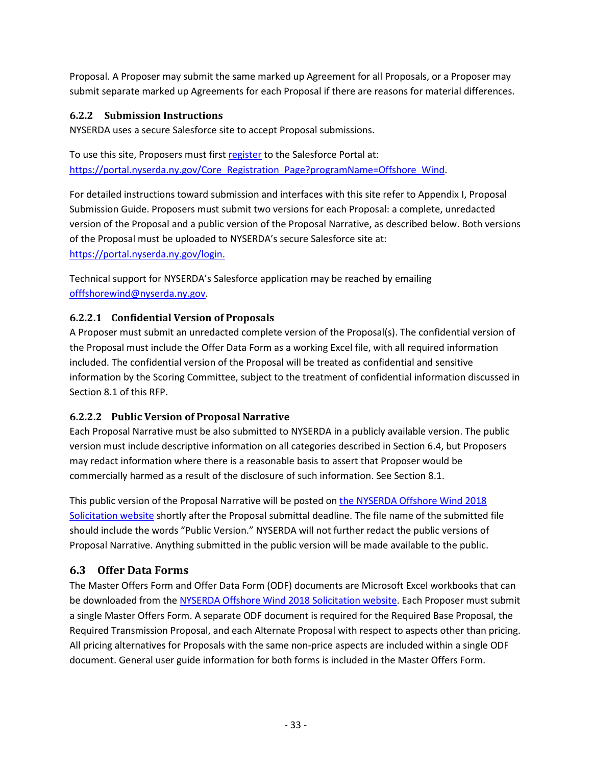Proposal. A Proposer may submit the same marked up Agreement for all Proposals, or a Proposer may submit separate marked up Agreements for each Proposal if there are reasons for material differences.

### <span id="page-37-0"></span>**6.2.2 Submission Instructions**

NYSERDA uses a secure Salesforce site to accept Proposal submissions.

To use this site, Proposers must first [register](https://portal.nyserda.ny.gov/Core_Registration_Page?programName=Offshore_Wind) to the Salesforce Portal at: [https://portal.nyserda.ny.gov/Core\\_Registration\\_Page?programName=Offshore\\_Wind.](https://portal.nyserda.ny.gov/Core_Registration_Page?programName=Offshore_Wind)

For detailed instructions toward submission and interfaces with this site refer to Appendix I, Proposal Submission Guide. Proposers must submit two versions for each Proposal: a complete, unredacted version of the Proposal and a public version of the Proposal Narrative, as described below. Both versions of the Proposal must be uploaded to NYSERDA's secure Salesforce site at: [https://portal.nyserda.ny.gov/login.](https://portal.nyserda.ny.gov/login)

Technical support for NYSERDA's Salesforce application may be reached by emailing [offfshorewind@nyserda.ny.gov.](mailto:offfshorewind@nyserda.ny.gov)

### **6.2.2.1 Confidential Version of Proposals**

A Proposer must submit an unredacted complete version of the Proposal(s). The confidential version of the Proposal must include the Offer Data Form as a working Excel file, with all required information included. The confidential version of the Proposal will be treated as confidential and sensitive information by the Scoring Committee, subject to the treatment of confidential information discussed in Sectio[n 8.1](#page-53-1) of this RFP.

# **6.2.2.2 Public Version of Proposal Narrative**

Each Proposal Narrative must be also submitted to NYSERDA in a publicly available version. The public version must include descriptive information on all categories described in Section [6.4,](#page-39-0) but Proposers may redact information where there is a reasonable basis to assert that Proposer would be commercially harmed as a result of the disclosure of such information. See Section [8.1.](#page-53-1)

This public version of the Proposal Narrative will be posted on the [NYSERDA Offshore Wind 2018](https://www.nyserda.ny.gov/offshore-wind-2018-solicitation)  [Solicitation website](https://www.nyserda.ny.gov/offshore-wind-2018-solicitation) shortly after the Proposal submittal deadline. The file name of the submitted file should include the words "Public Version." NYSERDA will not further redact the public versions of Proposal Narrative. Anything submitted in the public version will be made available to the public.

# <span id="page-37-1"></span>**6.3 Offer Data Forms**

The Master Offers Form and Offer Data Form (ODF) documents are Microsoft Excel workbooks that can be downloaded from the [NYSERDA Offshore Wind 2018 Solicitation website.](https://www.nyserda.ny.gov/offshore-wind-2018-solicitation) Each Proposer must submit a single Master Offers Form. A separate ODF document is required for the Required Base Proposal, the Required Transmission Proposal, and each Alternate Proposal with respect to aspects other than pricing. All pricing alternatives for Proposals with the same non-price aspects are included within a single ODF document. General user guide information for both forms is included in the Master Offers Form.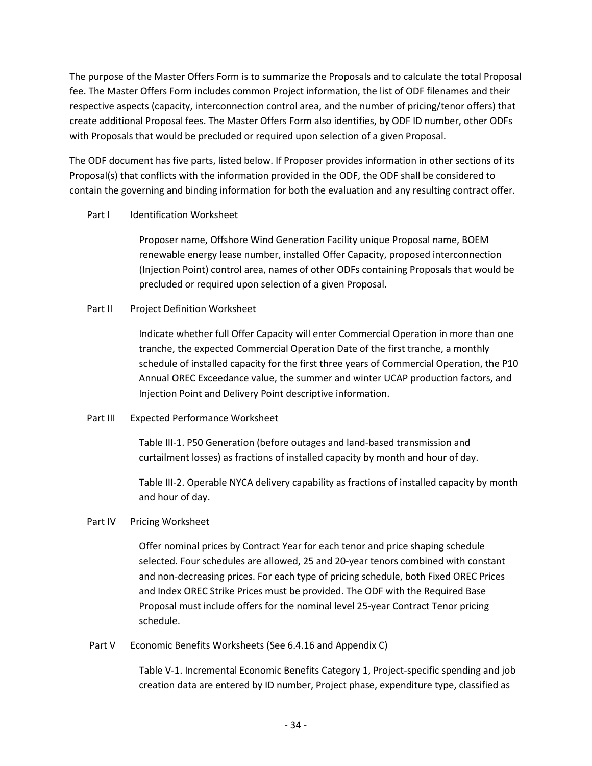The purpose of the Master Offers Form is to summarize the Proposals and to calculate the total Proposal fee. The Master Offers Form includes common Project information, the list of ODF filenames and their respective aspects (capacity, interconnection control area, and the number of pricing/tenor offers) that create additional Proposal fees. The Master Offers Form also identifies, by ODF ID number, other ODFs with Proposals that would be precluded or required upon selection of a given Proposal.

The ODF document has five parts, listed below. If Proposer provides information in other sections of its Proposal(s) that conflicts with the information provided in the ODF, the ODF shall be considered to contain the governing and binding information for both the evaluation and any resulting contract offer.

#### Part I Identification Worksheet

Proposer name, Offshore Wind Generation Facility unique Proposal name, BOEM renewable energy lease number, installed Offer Capacity, proposed interconnection (Injection Point) control area, names of other ODFs containing Proposals that would be precluded or required upon selection of a given Proposal.

### Part II Project Definition Worksheet

Indicate whether full Offer Capacity will enter Commercial Operation in more than one tranche, the expected Commercial Operation Date of the first tranche, a monthly schedule of installed capacity for the first three years of Commercial Operation, the P10 Annual OREC Exceedance value, the summer and winter UCAP production factors, and Injection Point and Delivery Point descriptive information.

Part III Expected Performance Worksheet

Table III-1. P50 Generation (before outages and land-based transmission and curtailment losses) as fractions of installed capacity by month and hour of day.

Table III-2. Operable NYCA delivery capability as fractions of installed capacity by month and hour of day.

### Part IV Pricing Worksheet

Offer nominal prices by Contract Year for each tenor and price shaping schedule selected. Four schedules are allowed, 25 and 20-year tenors combined with constant and non-decreasing prices. For each type of pricing schedule, both Fixed OREC Prices and Index OREC Strike Prices must be provided. The ODF with the Required Base Proposal must include offers for the nominal level 25-year Contract Tenor pricing schedule.

### Part V Economic Benefits Worksheets (See 6.4.16 and Appendix C)

Table V-1. Incremental Economic Benefits Category 1, Project-specific spending and job creation data are entered by ID number, Project phase, expenditure type, classified as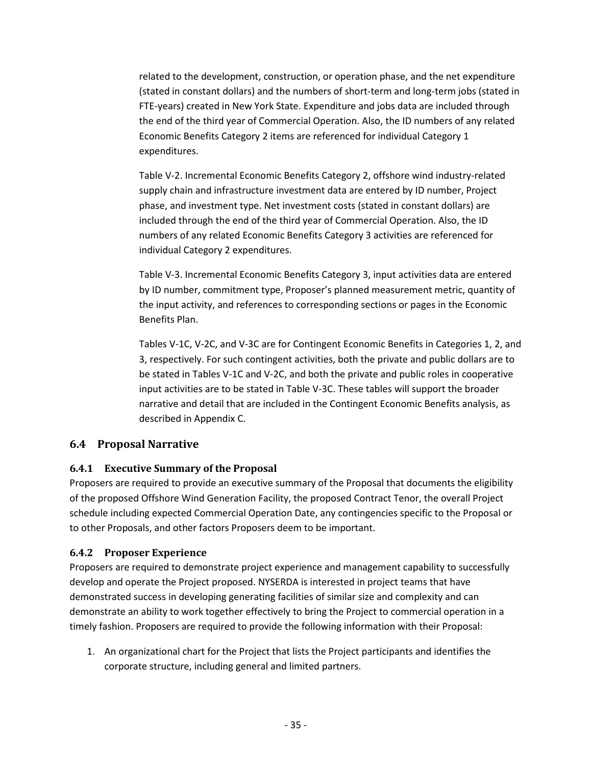related to the development, construction, or operation phase, and the net expenditure (stated in constant dollars) and the numbers of short-term and long-term jobs (stated in FTE-years) created in New York State. Expenditure and jobs data are included through the end of the third year of Commercial Operation. Also, the ID numbers of any related Economic Benefits Category 2 items are referenced for individual Category 1 expenditures.

Table V-2. Incremental Economic Benefits Category 2, offshore wind industry-related supply chain and infrastructure investment data are entered by ID number, Project phase, and investment type. Net investment costs (stated in constant dollars) are included through the end of the third year of Commercial Operation. Also, the ID numbers of any related Economic Benefits Category 3 activities are referenced for individual Category 2 expenditures.

Table V-3. Incremental Economic Benefits Category 3, input activities data are entered by ID number, commitment type, Proposer's planned measurement metric, quantity of the input activity, and references to corresponding sections or pages in the Economic Benefits Plan.

Tables V-1C, V-2C, and V-3C are for Contingent Economic Benefits in Categories 1, 2, and 3, respectively. For such contingent activities, both the private and public dollars are to be stated in Tables V-1C and V-2C, and both the private and public roles in cooperative input activities are to be stated in Table V-3C. These tables will support the broader narrative and detail that are included in the Contingent Economic Benefits analysis, as described in Appendix C.

### <span id="page-39-0"></span>**6.4 Proposal Narrative**

### <span id="page-39-1"></span>**6.4.1 Executive Summary of the Proposal**

Proposers are required to provide an executive summary of the Proposal that documents the eligibility of the proposed Offshore Wind Generation Facility, the proposed Contract Tenor, the overall Project schedule including expected Commercial Operation Date, any contingencies specific to the Proposal or to other Proposals, and other factors Proposers deem to be important.

### <span id="page-39-2"></span>**6.4.2 Proposer Experience**

Proposers are required to demonstrate project experience and management capability to successfully develop and operate the Project proposed. NYSERDA is interested in project teams that have demonstrated success in developing generating facilities of similar size and complexity and can demonstrate an ability to work together effectively to bring the Project to commercial operation in a timely fashion. Proposers are required to provide the following information with their Proposal:

1. An organizational chart for the Project that lists the Project participants and identifies the corporate structure, including general and limited partners.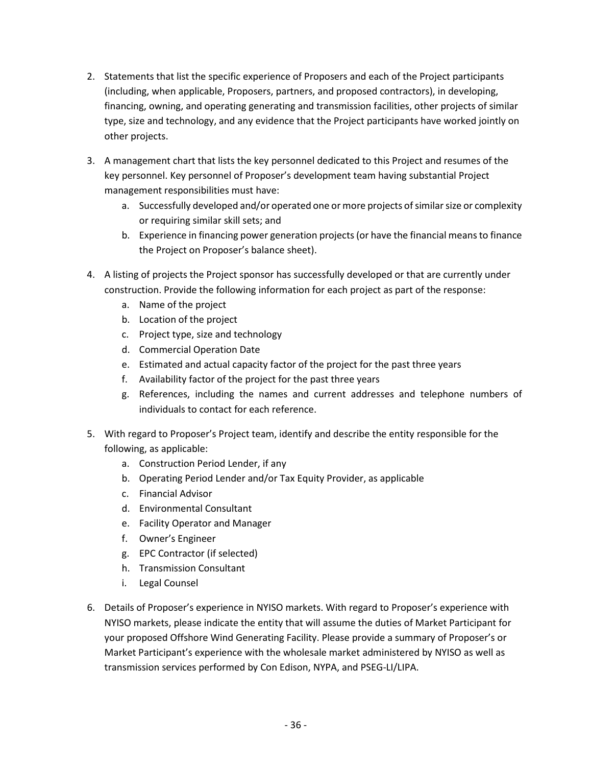- 2. Statements that list the specific experience of Proposers and each of the Project participants (including, when applicable, Proposers, partners, and proposed contractors), in developing, financing, owning, and operating generating and transmission facilities, other projects of similar type, size and technology, and any evidence that the Project participants have worked jointly on other projects.
- 3. A management chart that lists the key personnel dedicated to this Project and resumes of the key personnel. Key personnel of Proposer's development team having substantial Project management responsibilities must have:
	- a. Successfully developed and/or operated one or more projects of similar size or complexity or requiring similar skill sets; and
	- b. Experience in financing power generation projects (or have the financial means to finance the Project on Proposer's balance sheet).
- 4. A listing of projects the Project sponsor has successfully developed or that are currently under construction. Provide the following information for each project as part of the response:
	- a. Name of the project
	- b. Location of the project
	- c. Project type, size and technology
	- d. Commercial Operation Date
	- e. Estimated and actual capacity factor of the project for the past three years
	- f. Availability factor of the project for the past three years
	- g. References, including the names and current addresses and telephone numbers of individuals to contact for each reference.
- 5. With regard to Proposer's Project team, identify and describe the entity responsible for the following, as applicable:
	- a. Construction Period Lender, if any
	- b. Operating Period Lender and/or Tax Equity Provider, as applicable
	- c. Financial Advisor
	- d. Environmental Consultant
	- e. Facility Operator and Manager
	- f. Owner's Engineer
	- g. EPC Contractor (if selected)
	- h. Transmission Consultant
	- i. Legal Counsel
- 6. Details of Proposer's experience in NYISO markets. With regard to Proposer's experience with NYISO markets, please indicate the entity that will assume the duties of Market Participant for your proposed Offshore Wind Generating Facility. Please provide a summary of Proposer's or Market Participant's experience with the wholesale market administered by NYISO as well as transmission services performed by Con Edison, NYPA, and PSEG-LI/LIPA.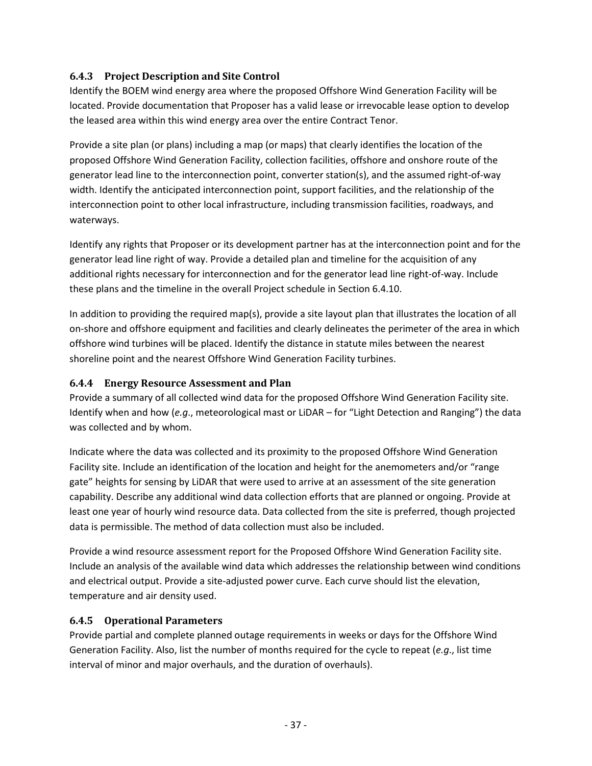### <span id="page-41-0"></span>**6.4.3 Project Description and Site Control**

Identify the BOEM wind energy area where the proposed Offshore Wind Generation Facility will be located. Provide documentation that Proposer has a valid lease or irrevocable lease option to develop the leased area within this wind energy area over the entire Contract Tenor.

Provide a site plan (or plans) including a map (or maps) that clearly identifies the location of the proposed Offshore Wind Generation Facility, collection facilities, offshore and onshore route of the generator lead line to the interconnection point, converter station(s), and the assumed right-of-way width. Identify the anticipated interconnection point, support facilities, and the relationship of the interconnection point to other local infrastructure, including transmission facilities, roadways, and waterways.

Identify any rights that Proposer or its development partner has at the interconnection point and for the generator lead line right of way. Provide a detailed plan and timeline for the acquisition of any additional rights necessary for interconnection and for the generator lead line right-of-way. Include these plans and the timeline in the overall Project schedule in Section [6.4.10.](#page-45-1)

In addition to providing the required map(s), provide a site layout plan that illustrates the location of all on-shore and offshore equipment and facilities and clearly delineates the perimeter of the area in which offshore wind turbines will be placed. Identify the distance in statute miles between the nearest shoreline point and the nearest Offshore Wind Generation Facility turbines.

### <span id="page-41-1"></span>**6.4.4 Energy Resource Assessment and Plan**

Provide a summary of all collected wind data for the proposed Offshore Wind Generation Facility site. Identify when and how (*e.g*., meteorological mast or LiDAR – for "Light Detection and Ranging") the data was collected and by whom.

Indicate where the data was collected and its proximity to the proposed Offshore Wind Generation Facility site. Include an identification of the location and height for the anemometers and/or "range gate" heights for sensing by LiDAR that were used to arrive at an assessment of the site generation capability. Describe any additional wind data collection efforts that are planned or ongoing. Provide at least one year of hourly wind resource data. Data collected from the site is preferred, though projected data is permissible. The method of data collection must also be included.

Provide a wind resource assessment report for the Proposed Offshore Wind Generation Facility site. Include an analysis of the available wind data which addresses the relationship between wind conditions and electrical output. Provide a site-adjusted power curve. Each curve should list the elevation, temperature and air density used.

### <span id="page-41-2"></span>**6.4.5 Operational Parameters**

Provide partial and complete planned outage requirements in weeks or days for the Offshore Wind Generation Facility. Also, list the number of months required for the cycle to repeat (*e.g*., list time interval of minor and major overhauls, and the duration of overhauls).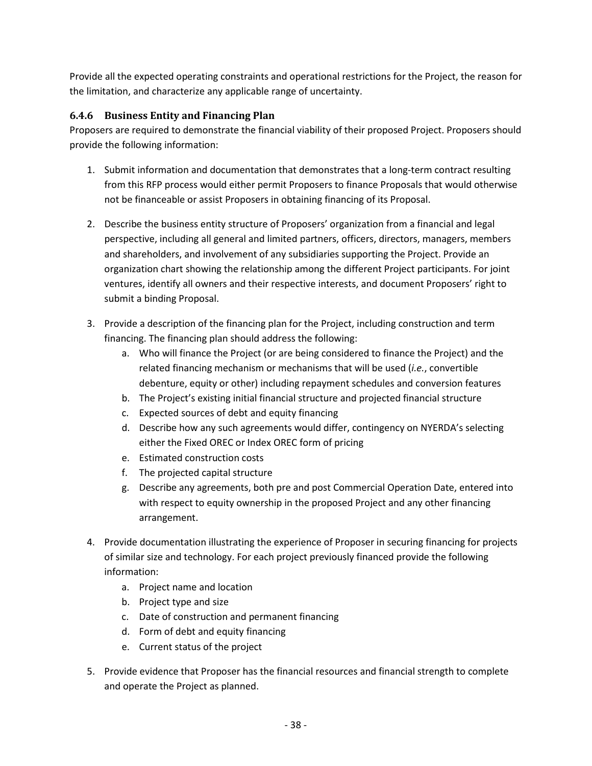Provide all the expected operating constraints and operational restrictions for the Project, the reason for the limitation, and characterize any applicable range of uncertainty.

### <span id="page-42-0"></span>**6.4.6 Business Entity and Financing Plan**

Proposers are required to demonstrate the financial viability of their proposed Project. Proposers should provide the following information:

- 1. Submit information and documentation that demonstrates that a long-term contract resulting from this RFP process would either permit Proposers to finance Proposals that would otherwise not be financeable or assist Proposers in obtaining financing of its Proposal.
- 2. Describe the business entity structure of Proposers' organization from a financial and legal perspective, including all general and limited partners, officers, directors, managers, members and shareholders, and involvement of any subsidiaries supporting the Project. Provide an organization chart showing the relationship among the different Project participants. For joint ventures, identify all owners and their respective interests, and document Proposers' right to submit a binding Proposal.
- 3. Provide a description of the financing plan for the Project, including construction and term financing. The financing plan should address the following:
	- a. Who will finance the Project (or are being considered to finance the Project) and the related financing mechanism or mechanisms that will be used (*i.e.*, convertible debenture, equity or other) including repayment schedules and conversion features
	- b. The Project's existing initial financial structure and projected financial structure
	- c. Expected sources of debt and equity financing
	- d. Describe how any such agreements would differ, contingency on NYERDA's selecting either the Fixed OREC or Index OREC form of pricing
	- e. Estimated construction costs
	- f. The projected capital structure
	- g. Describe any agreements, both pre and post Commercial Operation Date, entered into with respect to equity ownership in the proposed Project and any other financing arrangement.
- 4. Provide documentation illustrating the experience of Proposer in securing financing for projects of similar size and technology. For each project previously financed provide the following information:
	- a. Project name and location
	- b. Project type and size
	- c. Date of construction and permanent financing
	- d. Form of debt and equity financing
	- e. Current status of the project
- 5. Provide evidence that Proposer has the financial resources and financial strength to complete and operate the Project as planned.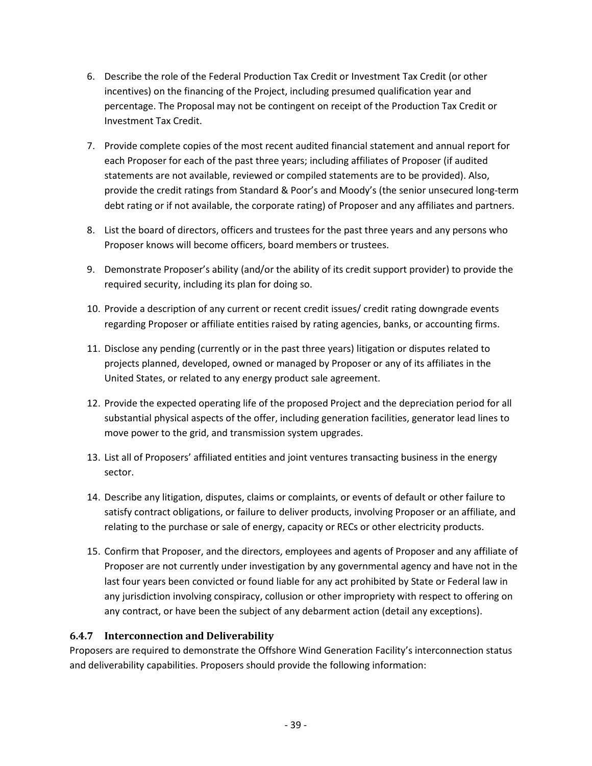- 6. Describe the role of the Federal Production Tax Credit or Investment Tax Credit (or other incentives) on the financing of the Project, including presumed qualification year and percentage. The Proposal may not be contingent on receipt of the Production Tax Credit or Investment Tax Credit.
- 7. Provide complete copies of the most recent audited financial statement and annual report for each Proposer for each of the past three years; including affiliates of Proposer (if audited statements are not available, reviewed or compiled statements are to be provided). Also, provide the credit ratings from Standard & Poor's and Moody's (the senior unsecured long-term debt rating or if not available, the corporate rating) of Proposer and any affiliates and partners.
- 8. List the board of directors, officers and trustees for the past three years and any persons who Proposer knows will become officers, board members or trustees.
- 9. Demonstrate Proposer's ability (and/or the ability of its credit support provider) to provide the required security, including its plan for doing so.
- 10. Provide a description of any current or recent credit issues/ credit rating downgrade events regarding Proposer or affiliate entities raised by rating agencies, banks, or accounting firms.
- 11. Disclose any pending (currently or in the past three years) litigation or disputes related to projects planned, developed, owned or managed by Proposer or any of its affiliates in the United States, or related to any energy product sale agreement.
- 12. Provide the expected operating life of the proposed Project and the depreciation period for all substantial physical aspects of the offer, including generation facilities, generator lead lines to move power to the grid, and transmission system upgrades.
- 13. List all of Proposers' affiliated entities and joint ventures transacting business in the energy sector.
- 14. Describe any litigation, disputes, claims or complaints, or events of default or other failure to satisfy contract obligations, or failure to deliver products, involving Proposer or an affiliate, and relating to the purchase or sale of energy, capacity or RECs or other electricity products.
- 15. Confirm that Proposer, and the directors, employees and agents of Proposer and any affiliate of Proposer are not currently under investigation by any governmental agency and have not in the last four years been convicted or found liable for any act prohibited by State or Federal law in any jurisdiction involving conspiracy, collusion or other impropriety with respect to offering on any contract, or have been the subject of any debarment action (detail any exceptions).

### <span id="page-43-0"></span>**6.4.7 Interconnection and Deliverability**

Proposers are required to demonstrate the Offshore Wind Generation Facility's interconnection status and deliverability capabilities. Proposers should provide the following information: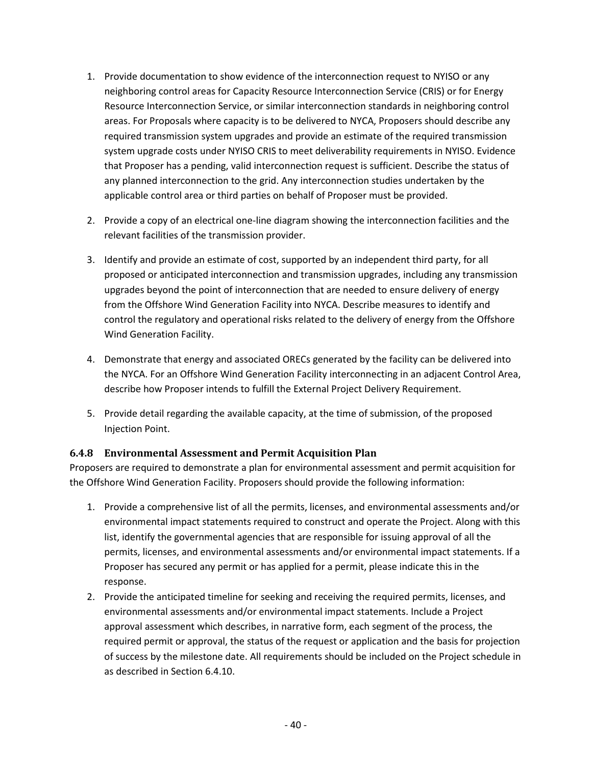- 1. Provide documentation to show evidence of the interconnection request to NYISO or any neighboring control areas for Capacity Resource Interconnection Service (CRIS) or for Energy Resource Interconnection Service, or similar interconnection standards in neighboring control areas. For Proposals where capacity is to be delivered to NYCA, Proposers should describe any required transmission system upgrades and provide an estimate of the required transmission system upgrade costs under NYISO CRIS to meet deliverability requirements in NYISO. Evidence that Proposer has a pending, valid interconnection request is sufficient. Describe the status of any planned interconnection to the grid. Any interconnection studies undertaken by the applicable control area or third parties on behalf of Proposer must be provided.
- 2. Provide a copy of an electrical one-line diagram showing the interconnection facilities and the relevant facilities of the transmission provider.
- 3. Identify and provide an estimate of cost, supported by an independent third party, for all proposed or anticipated interconnection and transmission upgrades, including any transmission upgrades beyond the point of interconnection that are needed to ensure delivery of energy from the Offshore Wind Generation Facility into NYCA. Describe measures to identify and control the regulatory and operational risks related to the delivery of energy from the Offshore Wind Generation Facility.
- 4. Demonstrate that energy and associated ORECs generated by the facility can be delivered into the NYCA. For an Offshore Wind Generation Facility interconnecting in an adjacent Control Area, describe how Proposer intends to fulfill the External Project Delivery Requirement.
- 5. Provide detail regarding the available capacity, at the time of submission, of the proposed Injection Point.

### <span id="page-44-0"></span>**6.4.8 Environmental Assessment and Permit Acquisition Plan**

Proposers are required to demonstrate a plan for environmental assessment and permit acquisition for the Offshore Wind Generation Facility. Proposers should provide the following information:

- 1. Provide a comprehensive list of all the permits, licenses, and environmental assessments and/or environmental impact statements required to construct and operate the Project. Along with this list, identify the governmental agencies that are responsible for issuing approval of all the permits, licenses, and environmental assessments and/or environmental impact statements. If a Proposer has secured any permit or has applied for a permit, please indicate this in the response.
- 2. Provide the anticipated timeline for seeking and receiving the required permits, licenses, and environmental assessments and/or environmental impact statements. Include a Project approval assessment which describes, in narrative form, each segment of the process, the required permit or approval, the status of the request or application and the basis for projection of success by the milestone date. All requirements should be included on the Project schedule in as described in Section [6.4.10.](#page-45-1)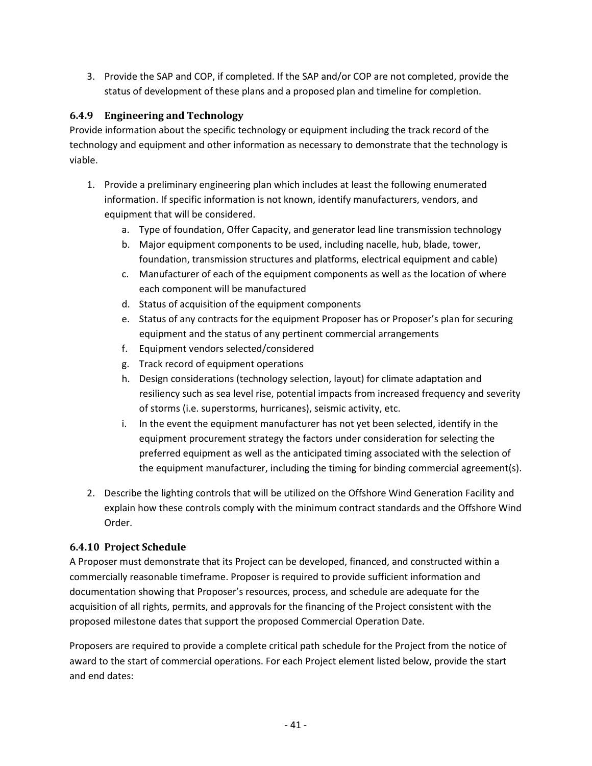3. Provide the SAP and COP, if completed. If the SAP and/or COP are not completed, provide the status of development of these plans and a proposed plan and timeline for completion.

## <span id="page-45-0"></span>**6.4.9 Engineering and Technology**

Provide information about the specific technology or equipment including the track record of the technology and equipment and other information as necessary to demonstrate that the technology is viable.

- 1. Provide a preliminary engineering plan which includes at least the following enumerated information. If specific information is not known, identify manufacturers, vendors, and equipment that will be considered.
	- a. Type of foundation, Offer Capacity, and generator lead line transmission technology
	- b. Major equipment components to be used, including nacelle, hub, blade, tower, foundation, transmission structures and platforms, electrical equipment and cable)
	- c. Manufacturer of each of the equipment components as well as the location of where each component will be manufactured
	- d. Status of acquisition of the equipment components
	- e. Status of any contracts for the equipment Proposer has or Proposer's plan for securing equipment and the status of any pertinent commercial arrangements
	- f. Equipment vendors selected/considered
	- g. Track record of equipment operations
	- h. Design considerations (technology selection, layout) for climate adaptation and resiliency such as sea level rise, potential impacts from increased frequency and severity of storms (i.e. superstorms, hurricanes), seismic activity, etc.
	- i. In the event the equipment manufacturer has not yet been selected, identify in the equipment procurement strategy the factors under consideration for selecting the preferred equipment as well as the anticipated timing associated with the selection of the equipment manufacturer, including the timing for binding commercial agreement(s).
- 2. Describe the lighting controls that will be utilized on the Offshore Wind Generation Facility and explain how these controls comply with the minimum contract standards and the Offshore Wind Order.

# <span id="page-45-1"></span>**6.4.10 Project Schedule**

A Proposer must demonstrate that its Project can be developed, financed, and constructed within a commercially reasonable timeframe. Proposer is required to provide sufficient information and documentation showing that Proposer's resources, process, and schedule are adequate for the acquisition of all rights, permits, and approvals for the financing of the Project consistent with the proposed milestone dates that support the proposed Commercial Operation Date.

Proposers are required to provide a complete critical path schedule for the Project from the notice of award to the start of commercial operations. For each Project element listed below, provide the start and end dates: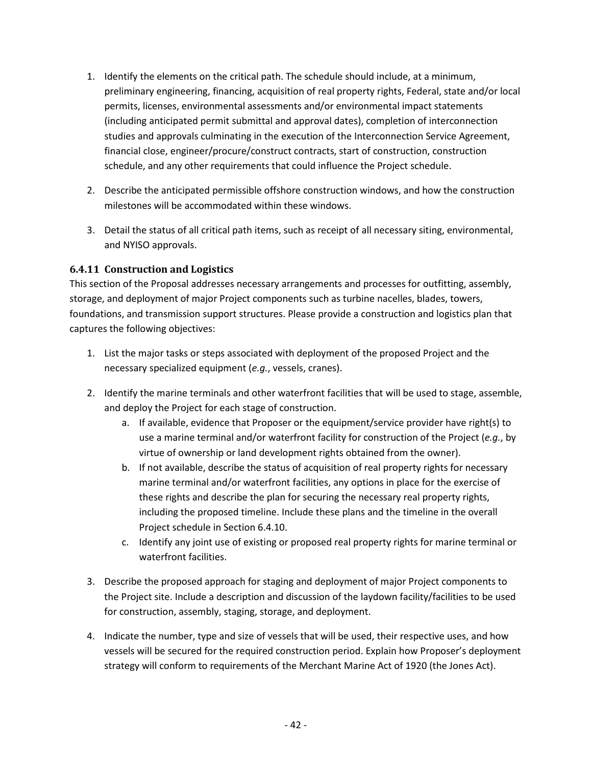- 1. Identify the elements on the critical path. The schedule should include, at a minimum, preliminary engineering, financing, acquisition of real property rights, Federal, state and/or local permits, licenses, environmental assessments and/or environmental impact statements (including anticipated permit submittal and approval dates), completion of interconnection studies and approvals culminating in the execution of the Interconnection Service Agreement, financial close, engineer/procure/construct contracts, start of construction, construction schedule, and any other requirements that could influence the Project schedule.
- 2. Describe the anticipated permissible offshore construction windows, and how the construction milestones will be accommodated within these windows.
- 3. Detail the status of all critical path items, such as receipt of all necessary siting, environmental, and NYISO approvals.

### <span id="page-46-0"></span>**6.4.11 Construction and Logistics**

This section of the Proposal addresses necessary arrangements and processes for outfitting, assembly, storage, and deployment of major Project components such as turbine nacelles, blades, towers, foundations, and transmission support structures. Please provide a construction and logistics plan that captures the following objectives:

- 1. List the major tasks or steps associated with deployment of the proposed Project and the necessary specialized equipment (*e.g.*, vessels, cranes).
- 2. Identify the marine terminals and other waterfront facilities that will be used to stage, assemble, and deploy the Project for each stage of construction.
	- a. If available, evidence that Proposer or the equipment/service provider have right(s) to use a marine terminal and/or waterfront facility for construction of the Project (*e.g.*, by virtue of ownership or land development rights obtained from the owner).
	- b. If not available, describe the status of acquisition of real property rights for necessary marine terminal and/or waterfront facilities, any options in place for the exercise of these rights and describe the plan for securing the necessary real property rights, including the proposed timeline. Include these plans and the timeline in the overall Project schedule in Section [6.4.10.](#page-45-1)
	- c. Identify any joint use of existing or proposed real property rights for marine terminal or waterfront facilities.
- 3. Describe the proposed approach for staging and deployment of major Project components to the Project site. Include a description and discussion of the laydown facility/facilities to be used for construction, assembly, staging, storage, and deployment.
- 4. Indicate the number, type and size of vessels that will be used, their respective uses, and how vessels will be secured for the required construction period. Explain how Proposer's deployment strategy will conform to requirements of the Merchant Marine Act of 1920 (the Jones Act).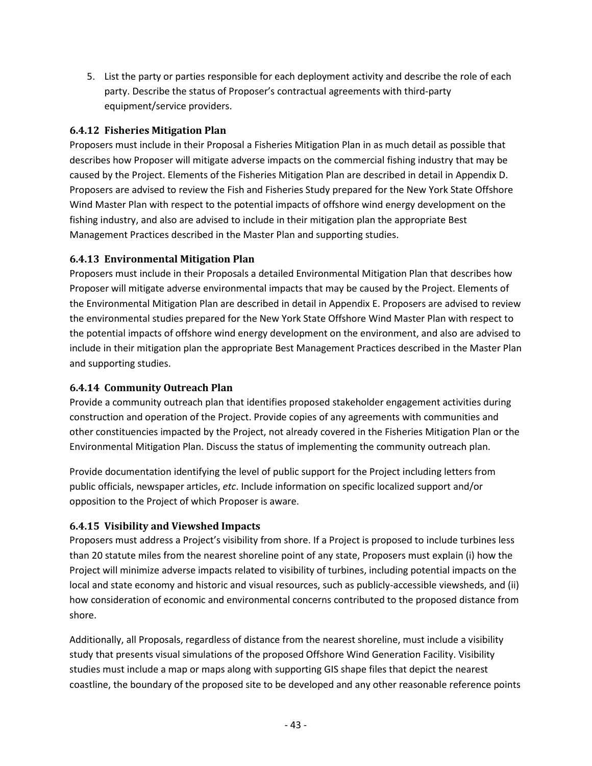5. List the party or parties responsible for each deployment activity and describe the role of each party. Describe the status of Proposer's contractual agreements with third-party equipment/service providers.

### <span id="page-47-0"></span>**6.4.12 Fisheries Mitigation Plan**

Proposers must include in their Proposal a Fisheries Mitigation Plan in as much detail as possible that describes how Proposer will mitigate adverse impacts on the commercial fishing industry that may be caused by the Project. Elements of the Fisheries Mitigation Plan are described in detail in Appendix D. Proposers are advised to review the Fish and Fisheries Study prepared for the New York State Offshore Wind Master Plan with respect to the potential impacts of offshore wind energy development on the fishing industry, and also are advised to include in their mitigation plan the appropriate Best Management Practices described in the Master Plan and supporting studies.

## <span id="page-47-1"></span>**6.4.13 Environmental Mitigation Plan**

Proposers must include in their Proposals a detailed Environmental Mitigation Plan that describes how Proposer will mitigate adverse environmental impacts that may be caused by the Project. Elements of the Environmental Mitigation Plan are described in detail in Appendix E. Proposers are advised to review the environmental studies prepared for the New York State Offshore Wind Master Plan with respect to the potential impacts of offshore wind energy development on the environment, and also are advised to include in their mitigation plan the appropriate Best Management Practices described in the Master Plan and supporting studies.

### <span id="page-47-2"></span>**6.4.14 Community Outreach Plan**

Provide a community outreach plan that identifies proposed stakeholder engagement activities during construction and operation of the Project. Provide copies of any agreements with communities and other constituencies impacted by the Project, not already covered in the Fisheries Mitigation Plan or the Environmental Mitigation Plan. Discuss the status of implementing the community outreach plan.

Provide documentation identifying the level of public support for the Project including letters from public officials, newspaper articles, *etc*. Include information on specific localized support and/or opposition to the Project of which Proposer is aware.

# <span id="page-47-3"></span>**6.4.15 Visibility and Viewshed Impacts**

Proposers must address a Project's visibility from shore. If a Project is proposed to include turbines less than 20 statute miles from the nearest shoreline point of any state, Proposers must explain (i) how the Project will minimize adverse impacts related to visibility of turbines, including potential impacts on the local and state economy and historic and visual resources, such as publicly-accessible viewsheds, and (ii) how consideration of economic and environmental concerns contributed to the proposed distance from shore.

Additionally, all Proposals, regardless of distance from the nearest shoreline, must include a visibility study that presents visual simulations of the proposed Offshore Wind Generation Facility. Visibility studies must include a map or maps along with supporting GIS shape files that depict the nearest coastline, the boundary of the proposed site to be developed and any other reasonable reference points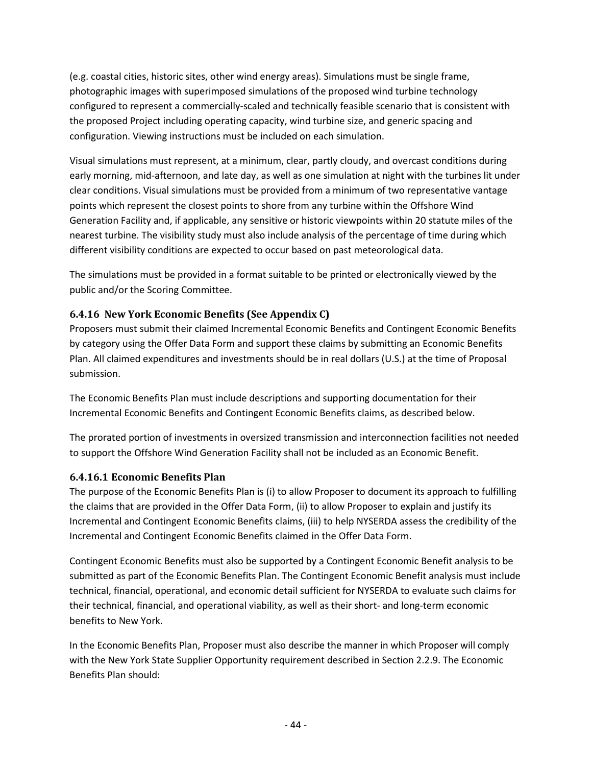(e.g. coastal cities, historic sites, other wind energy areas). Simulations must be single frame, photographic images with superimposed simulations of the proposed wind turbine technology configured to represent a commercially-scaled and technically feasible scenario that is consistent with the proposed Project including operating capacity, wind turbine size, and generic spacing and configuration. Viewing instructions must be included on each simulation.

Visual simulations must represent, at a minimum, clear, partly cloudy, and overcast conditions during early morning, mid-afternoon, and late day, as well as one simulation at night with the turbines lit under clear conditions. Visual simulations must be provided from a minimum of two representative vantage points which represent the closest points to shore from any turbine within the Offshore Wind Generation Facility and, if applicable, any sensitive or historic viewpoints within 20 statute miles of the nearest turbine. The visibility study must also include analysis of the percentage of time during which different visibility conditions are expected to occur based on past meteorological data.

The simulations must be provided in a format suitable to be printed or electronically viewed by the public and/or the Scoring Committee.

## <span id="page-48-0"></span>**6.4.16 New York Economic Benefits (See Appendix C)**

Proposers must submit their claimed Incremental Economic Benefits and Contingent Economic Benefits by category using the Offer Data Form and support these claims by submitting an Economic Benefits Plan. All claimed expenditures and investments should be in real dollars (U.S.) at the time of Proposal submission.

The Economic Benefits Plan must include descriptions and supporting documentation for their Incremental Economic Benefits and Contingent Economic Benefits claims, as described below.

The prorated portion of investments in oversized transmission and interconnection facilities not needed to support the Offshore Wind Generation Facility shall not be included as an Economic Benefit.

### **6.4.16.1 Economic Benefits Plan**

The purpose of the Economic Benefits Plan is (i) to allow Proposer to document its approach to fulfilling the claims that are provided in the Offer Data Form, (ii) to allow Proposer to explain and justify its Incremental and Contingent Economic Benefits claims, (iii) to help NYSERDA assess the credibility of the Incremental and Contingent Economic Benefits claimed in the Offer Data Form.

Contingent Economic Benefits must also be supported by a Contingent Economic Benefit analysis to be submitted as part of the Economic Benefits Plan. The Contingent Economic Benefit analysis must include technical, financial, operational, and economic detail sufficient for NYSERDA to evaluate such claims for their technical, financial, and operational viability, as well as their short- and long-term economic benefits to New York.

In the Economic Benefits Plan, Proposer must also describe the manner in which Proposer will comply with the New York State Supplier Opportunity requirement described in Sectio[n 2.2.9.](#page-23-3) The Economic Benefits Plan should: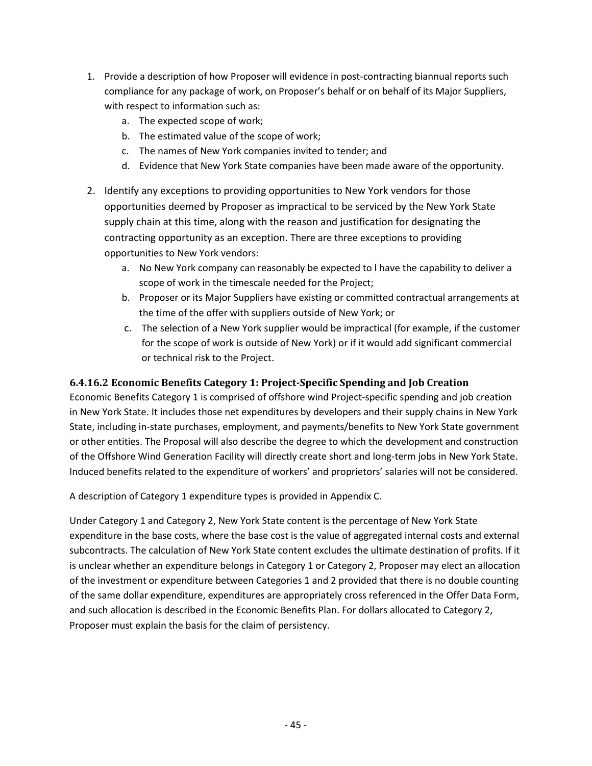- 1. Provide a description of how Proposer will evidence in post-contracting biannual reports such compliance for any package of work, on Proposer's behalf or on behalf of its Major Suppliers, with respect to information such as:
	- a. The expected scope of work;
	- b. The estimated value of the scope of work;
	- c. The names of New York companies invited to tender; and
	- d. Evidence that New York State companies have been made aware of the opportunity.
- 2. Identify any exceptions to providing opportunities to New York vendors for those opportunities deemed by Proposer as impractical to be serviced by the New York State supply chain at this time, along with the reason and justification for designating the contracting opportunity as an exception. There are three exceptions to providing opportunities to New York vendors:
	- a. No New York company can reasonably be expected to l have the capability to deliver a scope of work in the timescale needed for the Project;
	- b. Proposer or its Major Suppliers have existing or committed contractual arrangements at the time of the offer with suppliers outside of New York; or
	- c. The selection of a New York supplier would be impractical (for example, if the customer for the scope of work is outside of New York) or if it would add significant commercial or technical risk to the Project.

### **6.4.16.2 Economic Benefits Category 1: Project-Specific Spending and Job Creation**

Economic Benefits Category 1 is comprised of offshore wind Project-specific spending and job creation in New York State. It includes those net expenditures by developers and their supply chains in New York State, including in-state purchases, employment, and payments/benefits to New York State government or other entities. The Proposal will also describe the degree to which the development and construction of the Offshore Wind Generation Facility will directly create short and long-term jobs in New York State. Induced benefits related to the expenditure of workers' and proprietors' salaries will not be considered.

A description of Category 1 expenditure types is provided in Appendix C.

Under Category 1 and Category 2, New York State content is the percentage of New York State expenditure in the base costs, where the base cost is the value of aggregated internal costs and external subcontracts. The calculation of New York State content excludes the ultimate destination of profits. If it is unclear whether an expenditure belongs in Category 1 or Category 2, Proposer may elect an allocation of the investment or expenditure between Categories 1 and 2 provided that there is no double counting of the same dollar expenditure, expenditures are appropriately cross referenced in the Offer Data Form, and such allocation is described in the Economic Benefits Plan. For dollars allocated to Category 2, Proposer must explain the basis for the claim of persistency.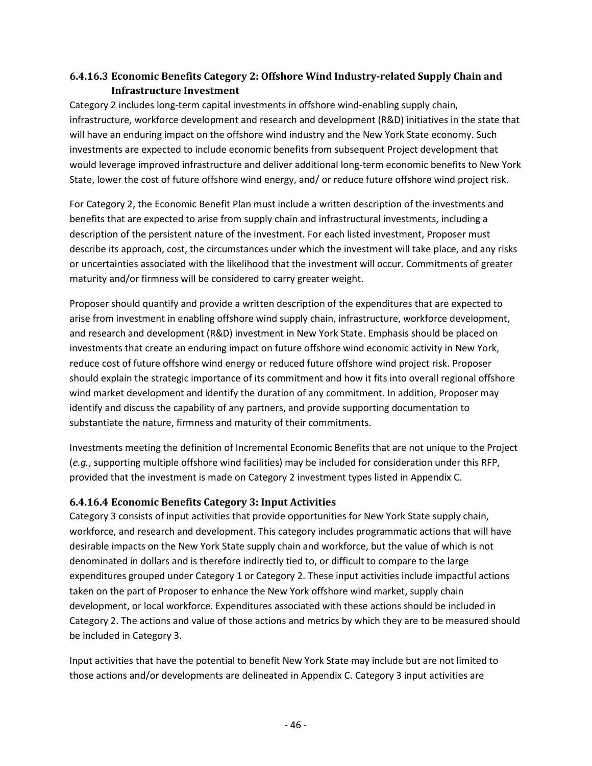## **6.4.16.3 Economic Benefits Category 2: Offshore Wind Industry-related Supply Chain and Infrastructure Investment**

Category 2 includes long-term capital investments in offshore wind-enabling supply chain, infrastructure, workforce development and research and development (R&D) initiatives in the state that will have an enduring impact on the offshore wind industry and the New York State economy. Such investments are expected to include economic benefits from subsequent Project development that would leverage improved infrastructure and deliver additional long-term economic benefits to New York State, lower the cost of future offshore wind energy, and/ or reduce future offshore wind project risk.

For Category 2, the Economic Benefit Plan must include a written description of the investments and benefits that are expected to arise from supply chain and infrastructural investments, including a description of the persistent nature of the investment. For each listed investment, Proposer must describe its approach, cost, the circumstances under which the investment will take place, and any risks or uncertainties associated with the likelihood that the investment will occur. Commitments of greater maturity and/or firmness will be considered to carry greater weight.

Proposer should quantify and provide a written description of the expenditures that are expected to arise from investment in enabling offshore wind supply chain, infrastructure, workforce development, and research and development (R&D) investment in New York State. Emphasis should be placed on investments that create an enduring impact on future offshore wind economic activity in New York, reduce cost of future offshore wind energy or reduced future offshore wind project risk. Proposer should explain the strategic importance of its commitment and how it fits into overall regional offshore wind market development and identify the duration of any commitment. In addition, Proposer may identify and discuss the capability of any partners, and provide supporting documentation to substantiate the nature, firmness and maturity of their commitments.

Investments meeting the definition of Incremental Economic Benefits that are not unique to the Project (*e.g.*, supporting multiple offshore wind facilities) may be included for consideration under this RFP, provided that the investment is made on Category 2 investment types listed in Appendix C.

### **6.4.16.4 Economic Benefits Category 3: Input Activities**

Category 3 consists of input activities that provide opportunities for New York State supply chain, workforce, and research and development. This category includes programmatic actions that will have desirable impacts on the New York State supply chain and workforce, but the value of which is not denominated in dollars and is therefore indirectly tied to, or difficult to compare to the large expenditures grouped under Category 1 or Category 2. These input activities include impactful actions taken on the part of Proposer to enhance the New York offshore wind market, supply chain development, or local workforce. Expenditures associated with these actions should be included in Category 2. The actions and value of those actions and metrics by which they are to be measured should be included in Category 3.

Input activities that have the potential to benefit New York State may include but are not limited to those actions and/or developments are delineated in Appendix C. Category 3 input activities are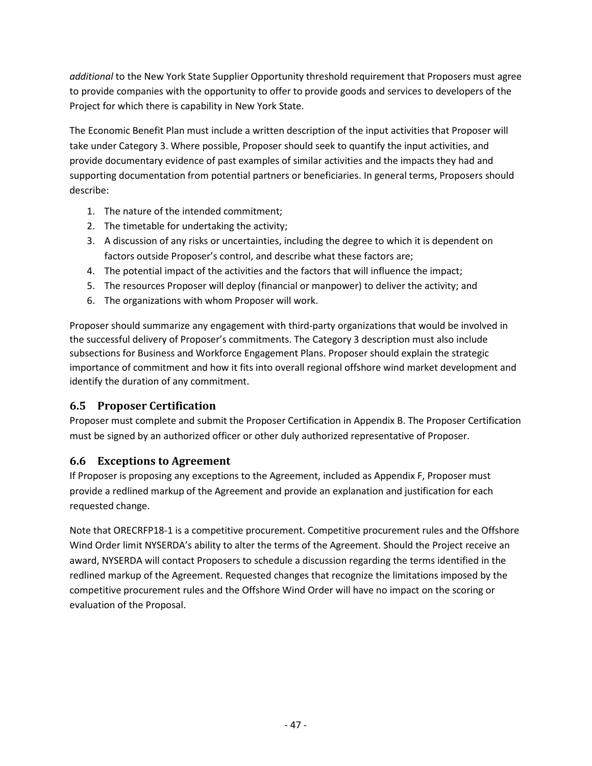*additional* to the New York State Supplier Opportunity threshold requirement that Proposers must agree to provide companies with the opportunity to offer to provide goods and services to developers of the Project for which there is capability in New York State.

The Economic Benefit Plan must include a written description of the input activities that Proposer will take under Category 3. Where possible, Proposer should seek to quantify the input activities, and provide documentary evidence of past examples of similar activities and the impacts they had and supporting documentation from potential partners or beneficiaries. In general terms, Proposers should describe:

- 1. The nature of the intended commitment;
- 2. The timetable for undertaking the activity;
- 3. A discussion of any risks or uncertainties, including the degree to which it is dependent on factors outside Proposer's control, and describe what these factors are;
- 4. The potential impact of the activities and the factors that will influence the impact;
- 5. The resources Proposer will deploy (financial or manpower) to deliver the activity; and
- 6. The organizations with whom Proposer will work.

Proposer should summarize any engagement with third-party organizations that would be involved in the successful delivery of Proposer's commitments. The Category 3 description must also include subsections for Business and Workforce Engagement Plans. Proposer should explain the strategic importance of commitment and how it fits into overall regional offshore wind market development and identify the duration of any commitment.

# <span id="page-51-0"></span>**6.5 Proposer Certification**

Proposer must complete and submit the Proposer Certification in Appendix B. The Proposer Certification must be signed by an authorized officer or other duly authorized representative of Proposer.

# <span id="page-51-1"></span>**6.6 Exceptions to Agreement**

If Proposer is proposing any exceptions to the Agreement, included as Appendix F, Proposer must provide a redlined markup of the Agreement and provide an explanation and justification for each requested change.

Note that ORECRFP18-1 is a competitive procurement. Competitive procurement rules and the Offshore Wind Order limit NYSERDA's ability to alter the terms of the Agreement. Should the Project receive an award, NYSERDA will contact Proposers to schedule a discussion regarding the terms identified in the redlined markup of the Agreement. Requested changes that recognize the limitations imposed by the competitive procurement rules and the Offshore Wind Order will have no impact on the scoring or evaluation of the Proposal.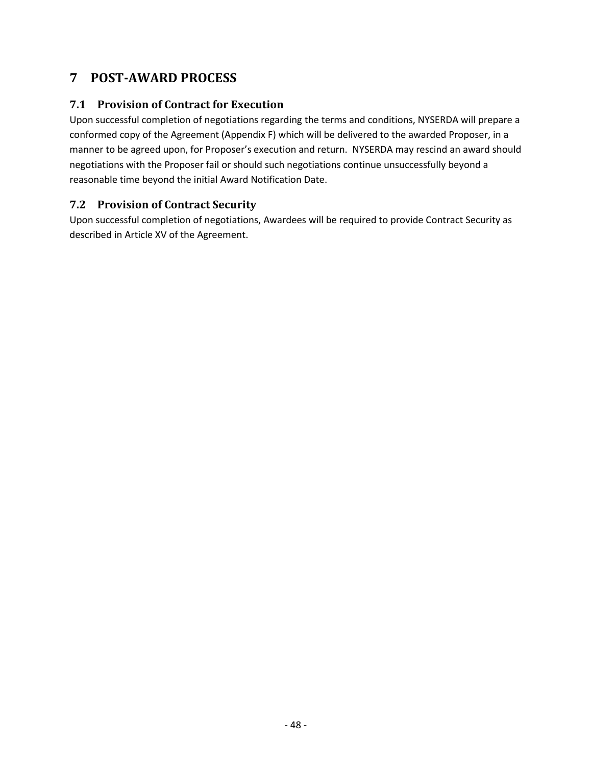# <span id="page-52-0"></span>**7 POST-AWARD PROCESS**

## <span id="page-52-1"></span>**7.1 Provision of Contract for Execution**

Upon successful completion of negotiations regarding the terms and conditions, NYSERDA will prepare a conformed copy of the Agreement (Appendix F) which will be delivered to the awarded Proposer, in a manner to be agreed upon, for Proposer's execution and return. NYSERDA may rescind an award should negotiations with the Proposer fail or should such negotiations continue unsuccessfully beyond a reasonable time beyond the initial Award Notification Date.

## <span id="page-52-2"></span>**7.2 Provision of Contract Security**

Upon successful completion of negotiations, Awardees will be required to provide Contract Security as described in Article XV of the Agreement.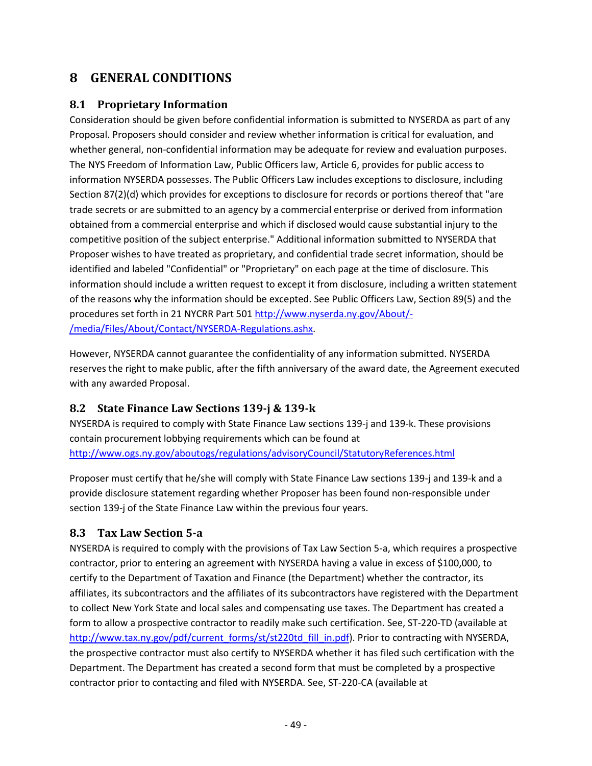# <span id="page-53-0"></span>**8 GENERAL CONDITIONS**

## <span id="page-53-1"></span>**8.1 Proprietary Information**

Consideration should be given before confidential information is submitted to NYSERDA as part of any Proposal. Proposers should consider and review whether information is critical for evaluation, and whether general, non-confidential information may be adequate for review and evaluation purposes. The NYS Freedom of Information Law, Public Officers law, Article 6, provides for public access to information NYSERDA possesses. The Public Officers Law includes exceptions to disclosure, including Section 87(2)(d) which provides for exceptions to disclosure for records or portions thereof that "are trade secrets or are submitted to an agency by a commercial enterprise or derived from information obtained from a commercial enterprise and which if disclosed would cause substantial injury to the competitive position of the subject enterprise." Additional information submitted to NYSERDA that Proposer wishes to have treated as proprietary, and confidential trade secret information, should be identified and labeled "Confidential" or "Proprietary" on each page at the time of disclosure. This information should include a written request to except it from disclosure, including a written statement of the reasons why the information should be excepted. See Public Officers Law, Section 89(5) and the procedures set forth in 21 NYCRR Part 50[1 http://www.nyserda.ny.gov/About/-](http://www.nyserda.ny.gov/About/-/media/Files/About/Contact/NYSERDA-Regulations.ashx) [/media/Files/About/Contact/NYSERDA-Regulations.ashx.](http://www.nyserda.ny.gov/About/-/media/Files/About/Contact/NYSERDA-Regulations.ashx)

However, NYSERDA cannot guarantee the confidentiality of any information submitted. NYSERDA reserves the right to make public, after the fifth anniversary of the award date, the Agreement executed with any awarded Proposal.

# <span id="page-53-2"></span>**8.2 State Finance Law Sections 139-j & 139-k**

NYSERDA is required to comply with State Finance Law sections 139-j and 139-k. These provisions contain procurement lobbying requirements which can be found at <http://www.ogs.ny.gov/aboutogs/regulations/advisoryCouncil/StatutoryReferences.html>

Proposer must certify that he/she will comply with State Finance Law sections 139-j and 139-k and a provide disclosure statement regarding whether Proposer has been found non-responsible under section 139-j of the State Finance Law within the previous four years.

# <span id="page-53-3"></span>**8.3 Tax Law Section 5-a**

NYSERDA is required to comply with the provisions of Tax Law Section 5-a, which requires a prospective contractor, prior to entering an agreement with NYSERDA having a value in excess of \$100,000, to certify to the Department of Taxation and Finance (the Department) whether the contractor, its affiliates, its subcontractors and the affiliates of its subcontractors have registered with the Department to collect New York State and local sales and compensating use taxes. The Department has created a form to allow a prospective contractor to readily make such certification. See, ST-220-TD (available at [http://www.tax.ny.gov/pdf/current\\_forms/st/st220td\\_fill\\_in.pdf\)](http://www.tax.ny.gov/pdf/current_forms/st/st220td_fill_in.pdf). Prior to contracting with NYSERDA, the prospective contractor must also certify to NYSERDA whether it has filed such certification with the Department. The Department has created a second form that must be completed by a prospective contractor prior to contacting and filed with NYSERDA. See, ST-220-CA (available at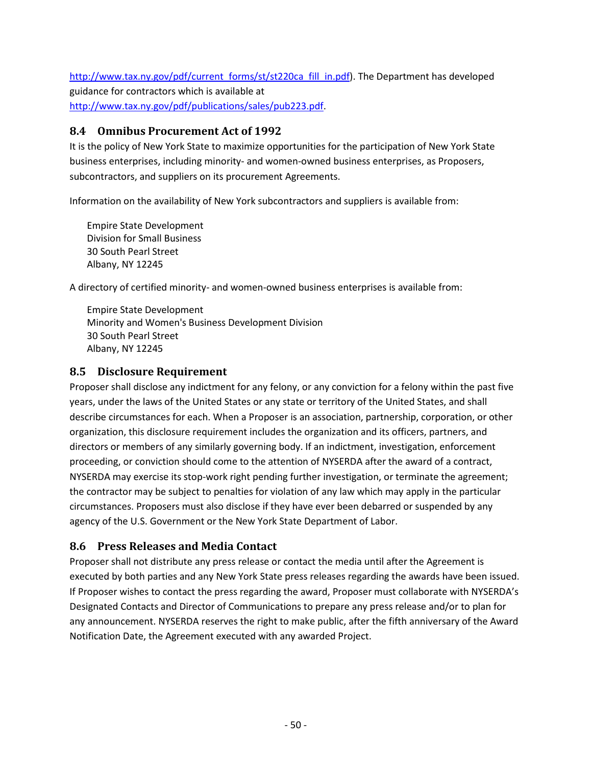[http://www.tax.ny.gov/pdf/current\\_forms/st/st220ca\\_fill\\_in.pdf\)](http://www.tax.ny.gov/pdf/current_forms/st/st220ca_fill_in.pdf). The Department has developed guidance for contractors which is available at [http://www.tax.ny.gov/pdf/publications/sales/pub223.pdf.](http://www.tax.ny.gov/pdf/publications/sales/pub223.pdf)

## <span id="page-54-0"></span>**8.4 Omnibus Procurement Act of 1992**

It is the policy of New York State to maximize opportunities for the participation of New York State business enterprises, including minority- and women-owned business enterprises, as Proposers, subcontractors, and suppliers on its procurement Agreements.

Information on the availability of New York subcontractors and suppliers is available from:

Empire State Development Division for Small Business 30 South Pearl Street Albany, NY 12245

A directory of certified minority- and women-owned business enterprises is available from:

Empire State Development Minority and Women's Business Development Division 30 South Pearl Street Albany, NY 12245

# <span id="page-54-1"></span>**8.5 Disclosure Requirement**

Proposer shall disclose any indictment for any felony, or any conviction for a felony within the past five years, under the laws of the United States or any state or territory of the United States, and shall describe circumstances for each. When a Proposer is an association, partnership, corporation, or other organization, this disclosure requirement includes the organization and its officers, partners, and directors or members of any similarly governing body. If an indictment, investigation, enforcement proceeding, or conviction should come to the attention of NYSERDA after the award of a contract, NYSERDA may exercise its stop-work right pending further investigation, or terminate the agreement; the contractor may be subject to penalties for violation of any law which may apply in the particular circumstances. Proposers must also disclose if they have ever been debarred or suspended by any agency of the U.S. Government or the New York State Department of Labor.

# <span id="page-54-2"></span>**8.6 Press Releases and Media Contact**

Proposer shall not distribute any press release or contact the media until after the Agreement is executed by both parties and any New York State press releases regarding the awards have been issued. If Proposer wishes to contact the press regarding the award, Proposer must collaborate with NYSERDA's Designated Contacts and Director of Communications to prepare any press release and/or to plan for any announcement. NYSERDA reserves the right to make public, after the fifth anniversary of the Award Notification Date, the Agreement executed with any awarded Project.